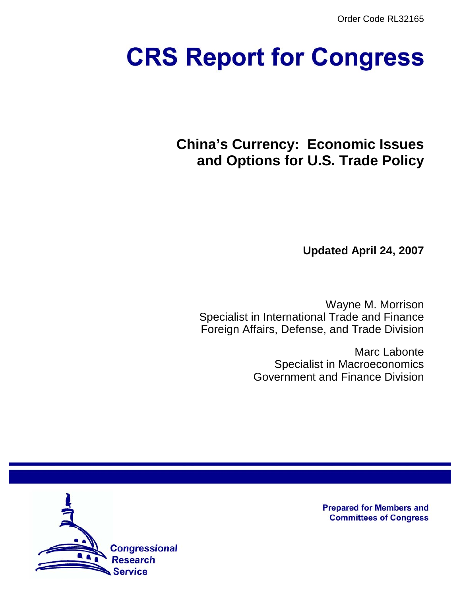# **CRS Report for Congress**

# **China's Currency: Economic Issues and Options for U.S. Trade Policy**

**Updated April 24, 2007**

Wayne M. Morrison Specialist in International Trade and Finance Foreign Affairs, Defense, and Trade Division

> Marc Labonte Specialist in Macroeconomics Government and Finance Division



**Prepared for Members and Committees of Congress**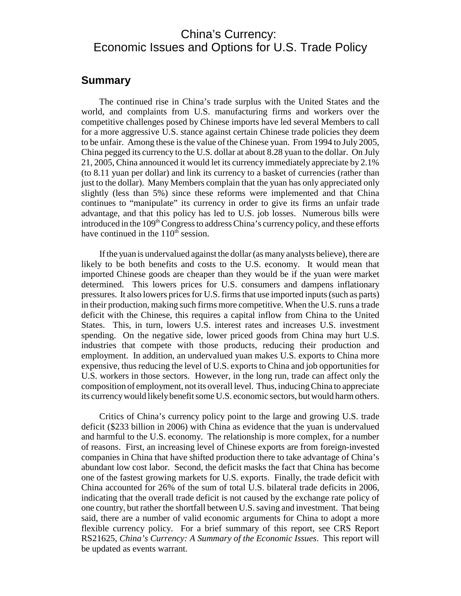### China's Currency: Economic Issues and Options for U.S. Trade Policy

### **Summary**

The continued rise in China's trade surplus with the United States and the world, and complaints from U.S. manufacturing firms and workers over the competitive challenges posed by Chinese imports have led several Members to call for a more aggressive U.S. stance against certain Chinese trade policies they deem to be unfair. Among these is the value of the Chinese yuan. From 1994 to July 2005, China pegged its currency to the U.S. dollar at about 8.28 yuan to the dollar. On July 21, 2005, China announced it would let its currency immediately appreciate by 2.1% (to 8.11 yuan per dollar) and link its currency to a basket of currencies (rather than just to the dollar). Many Members complain that the yuan has only appreciated only slightly (less than 5%) since these reforms were implemented and that China continues to "manipulate" its currency in order to give its firms an unfair trade advantage, and that this policy has led to U.S. job losses. Numerous bills were introduced in the  $109<sup>th</sup>$  Congress to address China's currency policy, and these efforts have continued in the  $110<sup>th</sup>$  session.

If the yuan is undervalued against the dollar (as many analysts believe), there are likely to be both benefits and costs to the U.S. economy. It would mean that imported Chinese goods are cheaper than they would be if the yuan were market determined. This lowers prices for U.S. consumers and dampens inflationary pressures. It also lowers prices for U.S. firms that use imported inputs (such as parts) in their production, making such firms more competitive. When the U.S. runs a trade deficit with the Chinese, this requires a capital inflow from China to the United States. This, in turn, lowers U.S. interest rates and increases U.S. investment spending. On the negative side, lower priced goods from China may hurt U.S. industries that compete with those products, reducing their production and employment. In addition, an undervalued yuan makes U.S. exports to China more expensive, thus reducing the level of U.S. exports to China and job opportunities for U.S. workers in those sectors. However, in the long run, trade can affect only the composition of employment, not its overall level. Thus, inducing China to appreciate its currency would likely benefit some U.S. economic sectors, but would harm others.

Critics of China's currency policy point to the large and growing U.S. trade deficit (\$233 billion in 2006) with China as evidence that the yuan is undervalued and harmful to the U.S. economy. The relationship is more complex, for a number of reasons. First, an increasing level of Chinese exports are from foreign-invested companies in China that have shifted production there to take advantage of China's abundant low cost labor. Second, the deficit masks the fact that China has become one of the fastest growing markets for U.S. exports. Finally, the trade deficit with China accounted for 26% of the sum of total U.S. bilateral trade deficits in 2006, indicating that the overall trade deficit is not caused by the exchange rate policy of one country, but rather the shortfall between U.S. saving and investment. That being said, there are a number of valid economic arguments for China to adopt a more flexible currency policy. For a brief summary of this report, see CRS Report RS21625, *China's Currency: A Summary of the Economic Issues*. This report will be updated as events warrant.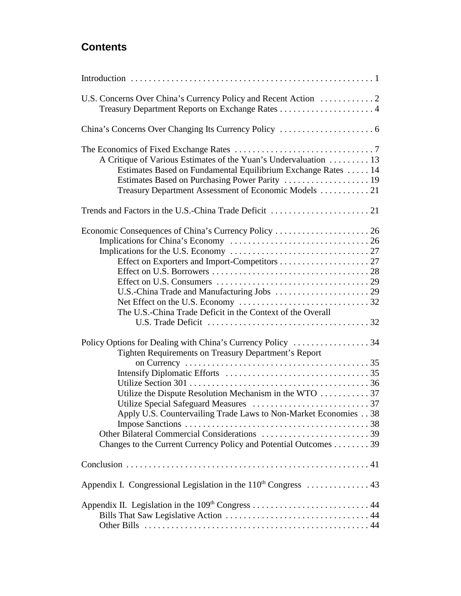### **Contents**

| A Critique of Various Estimates of the Yuan's Undervaluation  13<br>Estimates Based on Fundamental Equilibrium Exchange Rates  14<br>Treasury Department Assessment of Economic Models  21                                                            |  |
|-------------------------------------------------------------------------------------------------------------------------------------------------------------------------------------------------------------------------------------------------------|--|
|                                                                                                                                                                                                                                                       |  |
| The U.S.-China Trade Deficit in the Context of the Overall                                                                                                                                                                                            |  |
| Policy Options for Dealing with China's Currency Policy  34                                                                                                                                                                                           |  |
| Tighten Requirements on Treasury Department's Report<br>Utilize the Dispute Resolution Mechanism in the WTO 37<br>Apply U.S. Countervailing Trade Laws to Non-Market Economies 38<br>Changes to the Current Currency Policy and Potential Outcomes 39 |  |
|                                                                                                                                                                                                                                                       |  |
|                                                                                                                                                                                                                                                       |  |
|                                                                                                                                                                                                                                                       |  |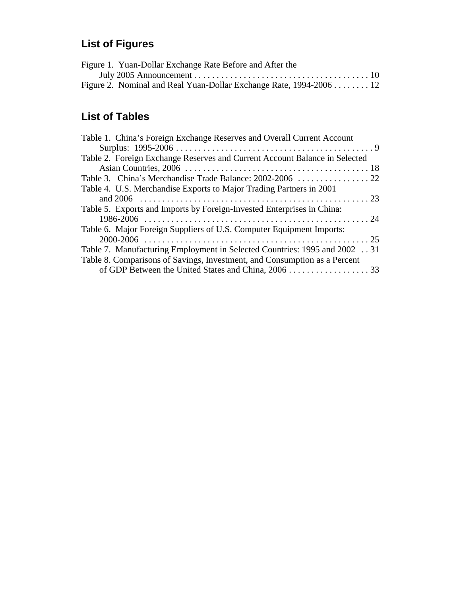# **List of Figures**

| Figure 1. Yuan-Dollar Exchange Rate Before and After the           |  |
|--------------------------------------------------------------------|--|
|                                                                    |  |
| Figure 2. Nominal and Real Yuan-Dollar Exchange Rate, 1994-2006 12 |  |

## **List of Tables**

| Table 1. China's Foreign Exchange Reserves and Overall Current Account     |  |
|----------------------------------------------------------------------------|--|
|                                                                            |  |
| Table 2. Foreign Exchange Reserves and Current Account Balance in Selected |  |
|                                                                            |  |
|                                                                            |  |
| Table 4. U.S. Merchandise Exports to Major Trading Partners in 2001        |  |
|                                                                            |  |
| Table 5. Exports and Imports by Foreign-Invested Enterprises in China:     |  |
|                                                                            |  |
| Table 6. Major Foreign Suppliers of U.S. Computer Equipment Imports:       |  |
|                                                                            |  |
| Table 7. Manufacturing Employment in Selected Countries: 1995 and 2002 31  |  |
| Table 8. Comparisons of Savings, Investment, and Consumption as a Percent  |  |
|                                                                            |  |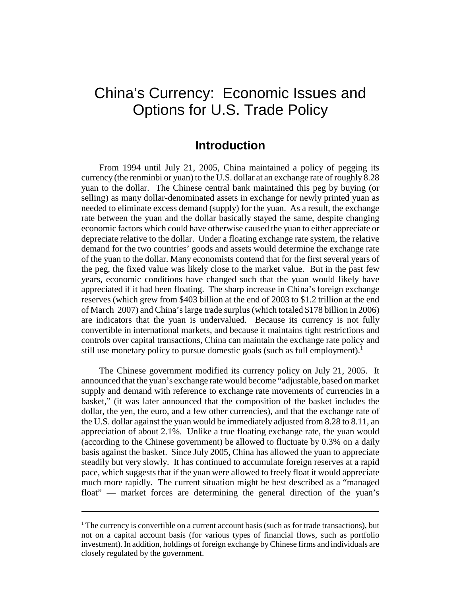# China's Currency: Economic Issues and Options for U.S. Trade Policy

### **Introduction**

From 1994 until July 21, 2005, China maintained a policy of pegging its currency (the renminbi or yuan) to the U.S. dollar at an exchange rate of roughly 8.28 yuan to the dollar. The Chinese central bank maintained this peg by buying (or selling) as many dollar-denominated assets in exchange for newly printed yuan as needed to eliminate excess demand (supply) for the yuan. As a result, the exchange rate between the yuan and the dollar basically stayed the same, despite changing economic factors which could have otherwise caused the yuan to either appreciate or depreciate relative to the dollar. Under a floating exchange rate system, the relative demand for the two countries' goods and assets would determine the exchange rate of the yuan to the dollar. Many economists contend that for the first several years of the peg, the fixed value was likely close to the market value. But in the past few years, economic conditions have changed such that the yuan would likely have appreciated if it had been floating. The sharp increase in China's foreign exchange reserves (which grew from \$403 billion at the end of 2003 to \$1.2 trillion at the end of March 2007) and China's large trade surplus (which totaled \$178 billion in 2006) are indicators that the yuan is undervalued. Because its currency is not fully convertible in international markets, and because it maintains tight restrictions and controls over capital transactions, China can maintain the exchange rate policy and still use monetary policy to pursue domestic goals (such as full employment).<sup>1</sup>

The Chinese government modified its currency policy on July 21, 2005. It announced that the yuan's exchange rate would become "adjustable, based on market supply and demand with reference to exchange rate movements of currencies in a basket," (it was later announced that the composition of the basket includes the dollar, the yen, the euro, and a few other currencies), and that the exchange rate of the U.S. dollar against the yuan would be immediately adjusted from 8.28 to 8.11, an appreciation of about 2.1%. Unlike a true floating exchange rate, the yuan would (according to the Chinese government) be allowed to fluctuate by 0.3% on a daily basis against the basket. Since July 2005, China has allowed the yuan to appreciate steadily but very slowly. It has continued to accumulate foreign reserves at a rapid pace, which suggests that if the yuan were allowed to freely float it would appreciate much more rapidly. The current situation might be best described as a "managed float" — market forces are determining the general direction of the yuan's

 $<sup>1</sup>$  The currency is convertible on a current account basis (such as for trade transactions), but</sup> not on a capital account basis (for various types of financial flows, such as portfolio investment). In addition, holdings of foreign exchange by Chinese firms and individuals are closely regulated by the government.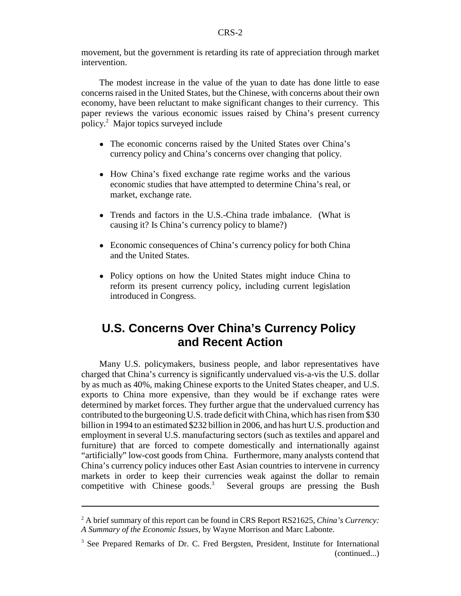movement, but the government is retarding its rate of appreciation through market intervention.

The modest increase in the value of the yuan to date has done little to ease concerns raised in the United States, but the Chinese, with concerns about their own economy, have been reluctant to make significant changes to their currency. This paper reviews the various economic issues raised by China's present currency policy.2 Major topics surveyed include

- The economic concerns raised by the United States over China's currency policy and China's concerns over changing that policy.
- How China's fixed exchange rate regime works and the various economic studies that have attempted to determine China's real, or market, exchange rate.
- Trends and factors in the U.S.-China trade imbalance. (What is causing it? Is China's currency policy to blame?)
- Economic consequences of China's currency policy for both China and the United States.
- Policy options on how the United States might induce China to reform its present currency policy, including current legislation introduced in Congress.

### **U.S. Concerns Over China's Currency Policy and Recent Action**

Many U.S. policymakers, business people, and labor representatives have charged that China's currency is significantly undervalued vis-a-vis the U.S. dollar by as much as 40%, making Chinese exports to the United States cheaper, and U.S. exports to China more expensive, than they would be if exchange rates were determined by market forces. They further argue that the undervalued currency has contributed to the burgeoning U.S. trade deficit with China, which has risen from \$30 billion in 1994 to an estimated \$232 billion in 2006, and has hurt U.S. production and employment in several U.S. manufacturing sectors (such as textiles and apparel and furniture) that are forced to compete domestically and internationally against "artificially" low-cost goods from China. Furthermore, many analysts contend that China's currency policy induces other East Asian countries to intervene in currency markets in order to keep their currencies weak against the dollar to remain competitive with Chinese goods.<sup>3</sup> Several groups are pressing the Bush

<sup>2</sup> A brief summary of this report can be found in CRS Report RS21625, *China's Currency: A Summary of the Economic Issues*, by Wayne Morrison and Marc Labonte.

<sup>&</sup>lt;sup>3</sup> See Prepared Remarks of Dr. C. Fred Bergsten, President, Institute for International (continued...)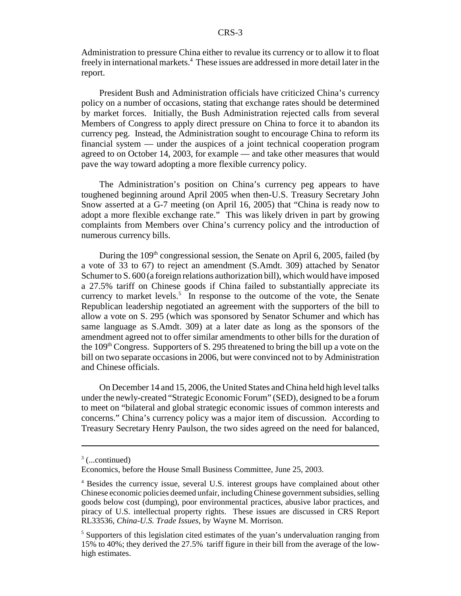Administration to pressure China either to revalue its currency or to allow it to float freely in international markets.<sup>4</sup> These issues are addressed in more detail later in the report.

President Bush and Administration officials have criticized China's currency policy on a number of occasions, stating that exchange rates should be determined by market forces. Initially, the Bush Administration rejected calls from several Members of Congress to apply direct pressure on China to force it to abandon its currency peg. Instead, the Administration sought to encourage China to reform its financial system — under the auspices of a joint technical cooperation program agreed to on October 14, 2003, for example — and take other measures that would pave the way toward adopting a more flexible currency policy.

The Administration's position on China's currency peg appears to have toughened beginning around April 2005 when then-U.S. Treasury Secretary John Snow asserted at a G-7 meeting (on April 16, 2005) that "China is ready now to adopt a more flexible exchange rate." This was likely driven in part by growing complaints from Members over China's currency policy and the introduction of numerous currency bills.

During the  $109<sup>th</sup>$  congressional session, the Senate on April 6, 2005, failed (by a vote of 33 to 67) to reject an amendment (S.Amdt. 309) attached by Senator Schumer to S. 600 (a foreign relations authorization bill), which would have imposed a 27.5% tariff on Chinese goods if China failed to substantially appreciate its currency to market levels.<sup>5</sup> In response to the outcome of the vote, the Senate Republican leadership negotiated an agreement with the supporters of the bill to allow a vote on S. 295 (which was sponsored by Senator Schumer and which has same language as S.Amdt. 309) at a later date as long as the sponsors of the amendment agreed not to offer similar amendments to other bills for the duration of the  $109<sup>th</sup>$  Congress. Supporters of S. 295 threatened to bring the bill up a vote on the bill on two separate occasions in 2006, but were convinced not to by Administration and Chinese officials.

On December 14 and 15, 2006, the United States and China held high level talks under the newly-created "Strategic Economic Forum" (SED), designed to be a forum to meet on "bilateral and global strategic economic issues of common interests and concerns." China's currency policy was a major item of discussion. According to Treasury Secretary Henry Paulson, the two sides agreed on the need for balanced,

 $3$  (...continued)

Economics, before the House Small Business Committee, June 25, 2003.

<sup>&</sup>lt;sup>4</sup> Besides the currency issue, several U.S. interest groups have complained about other Chinese economic policies deemed unfair, including Chinese government subsidies, selling goods below cost (dumping), poor environmental practices, abusive labor practices, and piracy of U.S. intellectual property rights. These issues are discussed in CRS Report RL33536, *China-U.S. Trade Issues*, by Wayne M. Morrison.

<sup>&</sup>lt;sup>5</sup> Supporters of this legislation cited estimates of the yuan's undervaluation ranging from 15% to 40%; they derived the 27.5% tariff figure in their bill from the average of the lowhigh estimates.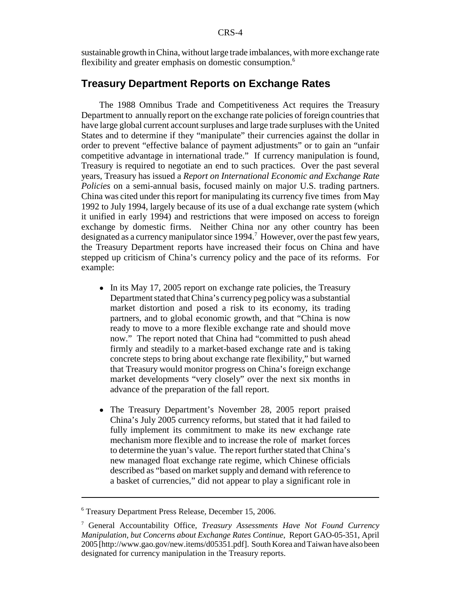sustainable growth in China, without large trade imbalances, with more exchange rate flexibility and greater emphasis on domestic consumption.<sup>6</sup>

### **Treasury Department Reports on Exchange Rates**

The 1988 Omnibus Trade and Competitiveness Act requires the Treasury Department to annually report on the exchange rate policies of foreign countries that have large global current account surpluses and large trade surpluses with the United States and to determine if they "manipulate" their currencies against the dollar in order to prevent "effective balance of payment adjustments" or to gain an "unfair competitive advantage in international trade." If currency manipulation is found, Treasury is required to negotiate an end to such practices. Over the past several years, Treasury has issued a *Report on International Economic and Exchange Rate Policies* on a semi-annual basis, focused mainly on major U.S. trading partners. China was cited under this report for manipulating its currency five times from May 1992 to July 1994, largely because of its use of a dual exchange rate system (which it unified in early 1994) and restrictions that were imposed on access to foreign exchange by domestic firms. Neither China nor any other country has been designated as a currency manipulator since 1994.<sup>7</sup> However, over the past few years, the Treasury Department reports have increased their focus on China and have stepped up criticism of China's currency policy and the pace of its reforms. For example:

- In its May 17, 2005 report on exchange rate policies, the Treasury Department stated that China's currency peg policy was a substantial market distortion and posed a risk to its economy, its trading partners, and to global economic growth, and that "China is now ready to move to a more flexible exchange rate and should move now." The report noted that China had "committed to push ahead firmly and steadily to a market-based exchange rate and is taking concrete steps to bring about exchange rate flexibility," but warned that Treasury would monitor progress on China's foreign exchange market developments "very closely" over the next six months in advance of the preparation of the fall report.
- The Treasury Department's November 28, 2005 report praised China's July 2005 currency reforms, but stated that it had failed to fully implement its commitment to make its new exchange rate mechanism more flexible and to increase the role of market forces to determine the yuan's value. The report further stated that China's new managed float exchange rate regime, which Chinese officials described as "based on market supply and demand with reference to a basket of currencies," did not appear to play a significant role in

<sup>6</sup> Treasury Department Press Release, December 15, 2006.

<sup>7</sup> General Accountability Office, *Treasury Assessments Have Not Found Currency Manipulation, but Concerns about Exchange Rates Continue*, Report GAO-05-351, April 2005 [http://www.gao.gov/new.items/d05351.pdf]. South Korea and Taiwan have also been designated for currency manipulation in the Treasury reports.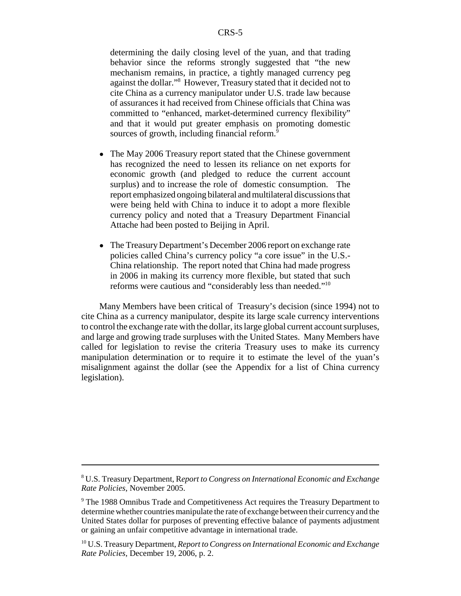determining the daily closing level of the yuan, and that trading behavior since the reforms strongly suggested that "the new mechanism remains, in practice, a tightly managed currency peg against the dollar."<sup>8</sup> However, Treasury stated that it decided not to cite China as a currency manipulator under U.S. trade law because of assurances it had received from Chinese officials that China was committed to "enhanced, market-determined currency flexibility" and that it would put greater emphasis on promoting domestic sources of growth, including financial reform.<sup>9</sup>

- The May 2006 Treasury report stated that the Chinese government has recognized the need to lessen its reliance on net exports for economic growth (and pledged to reduce the current account surplus) and to increase the role of domestic consumption. The report emphasized ongoing bilateral and multilateral discussions that were being held with China to induce it to adopt a more flexible currency policy and noted that a Treasury Department Financial Attache had been posted to Beijing in April.
- The Treasury Department's December 2006 report on exchange rate policies called China's currency policy "a core issue" in the U.S.- China relationship. The report noted that China had made progress in 2006 in making its currency more flexible, but stated that such reforms were cautious and "considerably less than needed."10

Many Members have been critical of Treasury's decision (since 1994) not to cite China as a currency manipulator, despite its large scale currency interventions to control the exchange rate with the dollar, its large global current account surpluses, and large and growing trade surpluses with the United States. Many Members have called for legislation to revise the criteria Treasury uses to make its currency manipulation determination or to require it to estimate the level of the yuan's misalignment against the dollar (see the Appendix for a list of China currency legislation).

<sup>8</sup> U.S. Treasury Department, R*eport to Congress on International Economic and Exchange Rate Policies*, November 2005.

<sup>&</sup>lt;sup>9</sup> The 1988 Omnibus Trade and Competitiveness Act requires the Treasury Department to determine whether countries manipulate the rate of exchange between their currency and the United States dollar for purposes of preventing effective balance of payments adjustment or gaining an unfair competitive advantage in international trade.

<sup>10</sup> U.S. Treasury Department, *Report to Congress on International Economic and Exchange Rate Policies*, December 19, 2006, p. 2.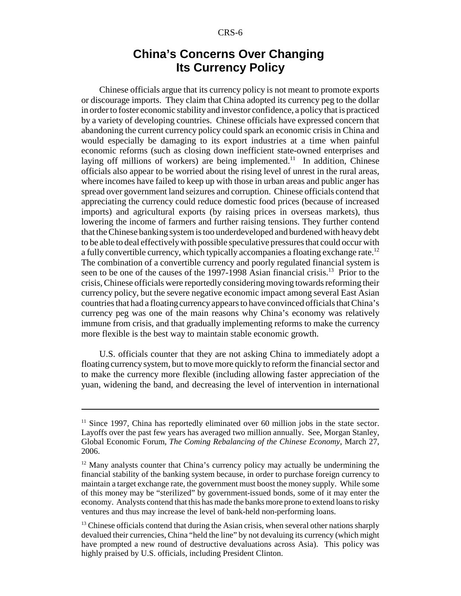### **China's Concerns Over Changing Its Currency Policy**

Chinese officials argue that its currency policy is not meant to promote exports or discourage imports. They claim that China adopted its currency peg to the dollar in order to foster economic stability and investor confidence, a policy that is practiced by a variety of developing countries. Chinese officials have expressed concern that abandoning the current currency policy could spark an economic crisis in China and would especially be damaging to its export industries at a time when painful economic reforms (such as closing down inefficient state-owned enterprises and laying off millions of workers) are being implemented.<sup>11</sup> In addition, Chinese officials also appear to be worried about the rising level of unrest in the rural areas, where incomes have failed to keep up with those in urban areas and public anger has spread over government land seizures and corruption. Chinese officials contend that appreciating the currency could reduce domestic food prices (because of increased imports) and agricultural exports (by raising prices in overseas markets), thus lowering the income of farmers and further raising tensions. They further contend that the Chinese banking system is too underdeveloped and burdened with heavy debt to be able to deal effectively with possible speculative pressures that could occur with a fully convertible currency, which typically accompanies a floating exchange rate.<sup>12</sup> The combination of a convertible currency and poorly regulated financial system is seen to be one of the causes of the 1997-1998 Asian financial crisis.<sup>13</sup> Prior to the crisis, Chinese officials were reportedly considering moving towards reforming their currency policy, but the severe negative economic impact among several East Asian countries that had a floating currency appears to have convinced officials that China's currency peg was one of the main reasons why China's economy was relatively immune from crisis, and that gradually implementing reforms to make the currency more flexible is the best way to maintain stable economic growth.

U.S. officials counter that they are not asking China to immediately adopt a floating currency system, but to move more quickly to reform the financial sector and to make the currency more flexible (including allowing faster appreciation of the yuan, widening the band, and decreasing the level of intervention in international

 $11$  Since 1997, China has reportedly eliminated over 60 million jobs in the state sector. Layoffs over the past few years has averaged two million annually. See, Morgan Stanley, Global Economic Forum, *The Coming Rebalancing of the Chinese Economy*, March 27, 2006.

<sup>&</sup>lt;sup>12</sup> Many analysts counter that China's currency policy may actually be undermining the financial stability of the banking system because, in order to purchase foreign currency to maintain a target exchange rate, the government must boost the money supply. While some of this money may be "sterilized" by government-issued bonds, some of it may enter the economy. Analysts contend that this has made the banks more prone to extend loans to risky ventures and thus may increase the level of bank-held non-performing loans.

 $<sup>13</sup>$  Chinese officials contend that during the Asian crisis, when several other nations sharply</sup> devalued their currencies, China "held the line" by not devaluing its currency (which might have prompted a new round of destructive devaluations across Asia). This policy was highly praised by U.S. officials, including President Clinton.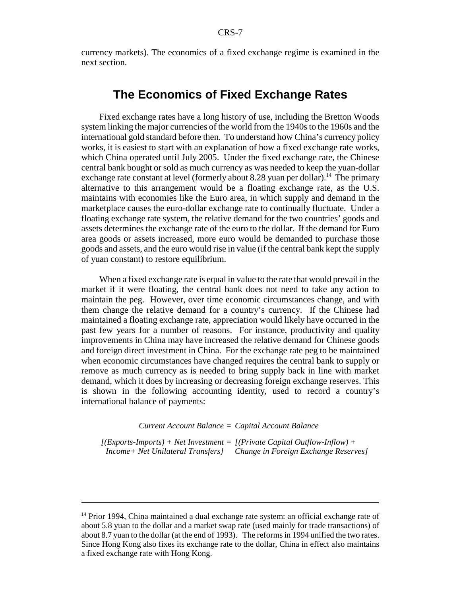currency markets). The economics of a fixed exchange regime is examined in the next section.

### **The Economics of Fixed Exchange Rates**

Fixed exchange rates have a long history of use, including the Bretton Woods system linking the major currencies of the world from the 1940s to the 1960s and the international gold standard before then. To understand how China's currency policy works, it is easiest to start with an explanation of how a fixed exchange rate works, which China operated until July 2005. Under the fixed exchange rate, the Chinese central bank bought or sold as much currency as was needed to keep the yuan-dollar exchange rate constant at level (formerly about 8.28 yuan per dollar).<sup>14</sup> The primary alternative to this arrangement would be a floating exchange rate, as the U.S. maintains with economies like the Euro area, in which supply and demand in the marketplace causes the euro-dollar exchange rate to continually fluctuate. Under a floating exchange rate system, the relative demand for the two countries' goods and assets determines the exchange rate of the euro to the dollar. If the demand for Euro area goods or assets increased, more euro would be demanded to purchase those goods and assets, and the euro would rise in value (if the central bank kept the supply of yuan constant) to restore equilibrium.

When a fixed exchange rate is equal in value to the rate that would prevail in the market if it were floating, the central bank does not need to take any action to maintain the peg. However, over time economic circumstances change, and with them change the relative demand for a country's currency. If the Chinese had maintained a floating exchange rate, appreciation would likely have occurred in the past few years for a number of reasons. For instance, productivity and quality improvements in China may have increased the relative demand for Chinese goods and foreign direct investment in China. For the exchange rate peg to be maintained when economic circumstances have changed requires the central bank to supply or remove as much currency as is needed to bring supply back in line with market demand, which it does by increasing or decreasing foreign exchange reserves. This is shown in the following accounting identity, used to record a country's international balance of payments:

*Current Account Balance = Capital Account Balance*

*[(Exports-Imports) + Net Investment = [(Private Capital Outflow-Inflow) + Income+ Net Unilateral Transfers] Change in Foreign Exchange Reserves]*

<sup>&</sup>lt;sup>14</sup> Prior 1994, China maintained a dual exchange rate system: an official exchange rate of about 5.8 yuan to the dollar and a market swap rate (used mainly for trade transactions) of about 8.7 yuan to the dollar (at the end of 1993). The reforms in 1994 unified the two rates. Since Hong Kong also fixes its exchange rate to the dollar, China in effect also maintains a fixed exchange rate with Hong Kong.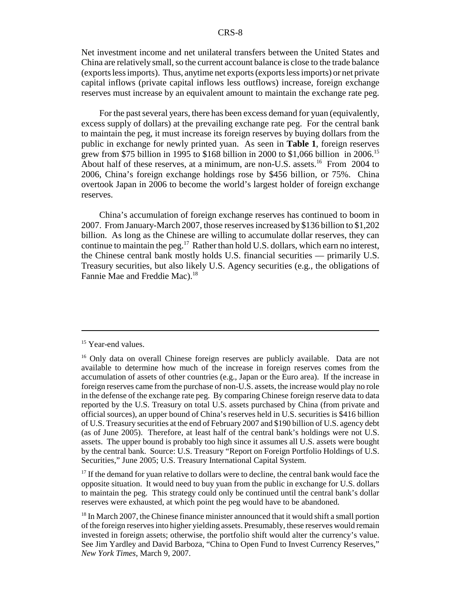Net investment income and net unilateral transfers between the United States and China are relatively small, so the current account balance is close to the trade balance (exports less imports). Thus, anytime net exports (exports less imports) or net private capital inflows (private capital inflows less outflows) increase, foreign exchange reserves must increase by an equivalent amount to maintain the exchange rate peg.

For the past several years, there has been excess demand for yuan (equivalently, excess supply of dollars) at the prevailing exchange rate peg. For the central bank to maintain the peg, it must increase its foreign reserves by buying dollars from the public in exchange for newly printed yuan. As seen in **Table 1**, foreign reserves grew from \$75 billion in 1995 to \$168 billion in 2000 to \$1,066 billion in 2006.15 About half of these reserves, at a minimum, are non-U.S. assets.<sup>16</sup> From 2004 to 2006, China's foreign exchange holdings rose by \$456 billion, or 75%. China overtook Japan in 2006 to become the world's largest holder of foreign exchange reserves.

China's accumulation of foreign exchange reserves has continued to boom in 2007. From January-March 2007, those reserves increased by \$136 billion to \$1,202 billion. As long as the Chinese are willing to accumulate dollar reserves, they can continue to maintain the peg.17 Rather than hold U.S. dollars, which earn no interest, the Chinese central bank mostly holds U.S. financial securities — primarily U.S. Treasury securities, but also likely U.S. Agency securities (e.g., the obligations of Fannie Mae and Freddie Mac).<sup>18</sup>

 $17$  If the demand for yuan relative to dollars were to decline, the central bank would face the opposite situation. It would need to buy yuan from the public in exchange for U.S. dollars to maintain the peg. This strategy could only be continued until the central bank's dollar reserves were exhausted, at which point the peg would have to be abandoned.

<sup>&</sup>lt;sup>15</sup> Year-end values.

<sup>&</sup>lt;sup>16</sup> Only data on overall Chinese foreign reserves are publicly available. Data are not available to determine how much of the increase in foreign reserves comes from the accumulation of assets of other countries (e.g., Japan or the Euro area). If the increase in foreign reserves came from the purchase of non-U.S. assets, the increase would play no role in the defense of the exchange rate peg. By comparing Chinese foreign reserve data to data reported by the U.S. Treasury on total U.S. assets purchased by China (from private and official sources), an upper bound of China's reserves held in U.S. securities is \$416 billion of U.S. Treasury securities at the end of February 2007 and \$190 billion of U.S. agency debt (as of June 2005). Therefore, at least half of the central bank's holdings were not U.S. assets. The upper bound is probably too high since it assumes all U.S. assets were bought by the central bank. Source: U.S. Treasury "Report on Foreign Portfolio Holdings of U.S. Securities," June 2005; U.S. Treasury International Capital System.

<sup>&</sup>lt;sup>18</sup> In March 2007, the Chinese finance minister announced that it would shift a small portion of the foreign reserves into higher yielding assets. Presumably, these reserves would remain invested in foreign assets; otherwise, the portfolio shift would alter the currency's value. See Jim Yardley and David Barboza, "China to Open Fund to Invest Currency Reserves," *New York Times*, March 9, 2007.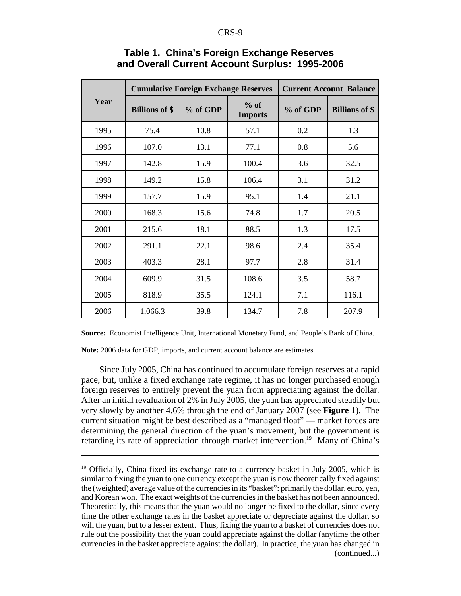|      | <b>Cumulative Foreign Exchange Reserves</b> |          |                          | <b>Current Account Balance</b> |                       |
|------|---------------------------------------------|----------|--------------------------|--------------------------------|-----------------------|
| Year | <b>Billions of \$</b>                       | % of GDP | $%$ of<br><b>Imports</b> | % of GDP                       | <b>Billions of \$</b> |
| 1995 | 75.4                                        | 10.8     | 57.1                     | 0.2                            | 1.3                   |
| 1996 | 107.0                                       | 13.1     | 77.1                     | 0.8                            | 5.6                   |
| 1997 | 142.8                                       | 15.9     | 100.4                    | 3.6                            | 32.5                  |
| 1998 | 149.2                                       | 15.8     | 106.4                    | 3.1                            | 31.2                  |
| 1999 | 157.7                                       | 15.9     | 95.1                     | 1.4                            | 21.1                  |
| 2000 | 168.3                                       | 15.6     | 74.8                     | 1.7                            | 20.5                  |
| 2001 | 215.6                                       | 18.1     | 88.5                     | 1.3                            | 17.5                  |
| 2002 | 291.1                                       | 22.1     | 98.6                     | 2.4                            | 35.4                  |
| 2003 | 403.3                                       | 28.1     | 97.7                     | 2.8                            | 31.4                  |
| 2004 | 609.9                                       | 31.5     | 108.6                    | 3.5                            | 58.7                  |
| 2005 | 818.9                                       | 35.5     | 124.1                    | 7.1                            | 116.1                 |
| 2006 | 1,066.3                                     | 39.8     | 134.7                    | 7.8                            | 207.9                 |

#### **Table 1. China's Foreign Exchange Reserves and Overall Current Account Surplus: 1995-2006**

**Source:** Economist Intelligence Unit, International Monetary Fund, and People's Bank of China.

**Note:** 2006 data for GDP, imports, and current account balance are estimates.

Since July 2005, China has continued to accumulate foreign reserves at a rapid pace, but, unlike a fixed exchange rate regime, it has no longer purchased enough foreign reserves to entirely prevent the yuan from appreciating against the dollar. After an initial revaluation of 2% in July 2005, the yuan has appreciated steadily but very slowly by another 4.6% through the end of January 2007 (see **Figure 1**). The current situation might be best described as a "managed float" — market forces are determining the general direction of the yuan's movement, but the government is retarding its rate of appreciation through market intervention.<sup>19</sup> Many of China's

 $19$  Officially, China fixed its exchange rate to a currency basket in July 2005, which is similar to fixing the yuan to one currency except the yuan is now theoretically fixed against the (weighted) average value of the currencies in its "basket": primarily the dollar, euro, yen, and Korean won. The exact weights of the currencies in the basket has not been announced. Theoretically, this means that the yuan would no longer be fixed to the dollar, since every time the other exchange rates in the basket appreciate or depreciate against the dollar, so will the yuan, but to a lesser extent. Thus, fixing the yuan to a basket of currencies does not rule out the possibility that the yuan could appreciate against the dollar (anytime the other currencies in the basket appreciate against the dollar). In practice, the yuan has changed in (continued...)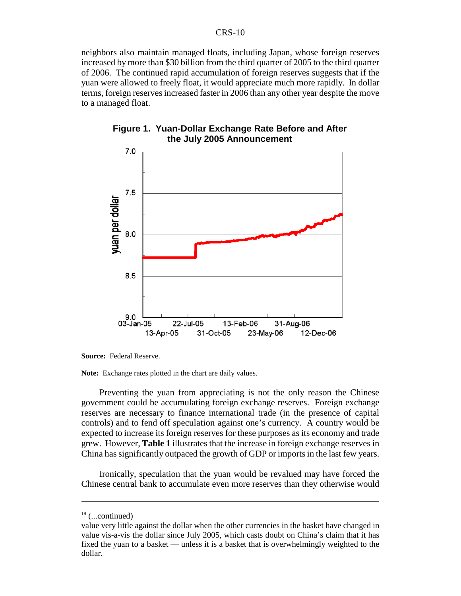neighbors also maintain managed floats, including Japan, whose foreign reserves increased by more than \$30 billion from the third quarter of 2005 to the third quarter of 2006. The continued rapid accumulation of foreign reserves suggests that if the yuan were allowed to freely float, it would appreciate much more rapidly. In dollar terms, foreign reserves increased faster in 2006 than any other year despite the move to a managed float.



#### **Figure 1. Yuan-Dollar Exchange Rate Before and After the July 2005 Announcement**

**Source:** Federal Reserve.

**Note:** Exchange rates plotted in the chart are daily values.

Preventing the yuan from appreciating is not the only reason the Chinese government could be accumulating foreign exchange reserves. Foreign exchange reserves are necessary to finance international trade (in the presence of capital controls) and to fend off speculation against one's currency. A country would be expected to increase its foreign reserves for these purposes as its economy and trade grew. However, **Table 1** illustrates that the increase in foreign exchange reserves in China has significantly outpaced the growth of GDP or imports in the last few years.

Ironically, speculation that the yuan would be revalued may have forced the Chinese central bank to accumulate even more reserves than they otherwise would

 $19$  (...continued)

value very little against the dollar when the other currencies in the basket have changed in value vis-a-vis the dollar since July 2005, which casts doubt on China's claim that it has fixed the yuan to a basket — unless it is a basket that is overwhelmingly weighted to the dollar.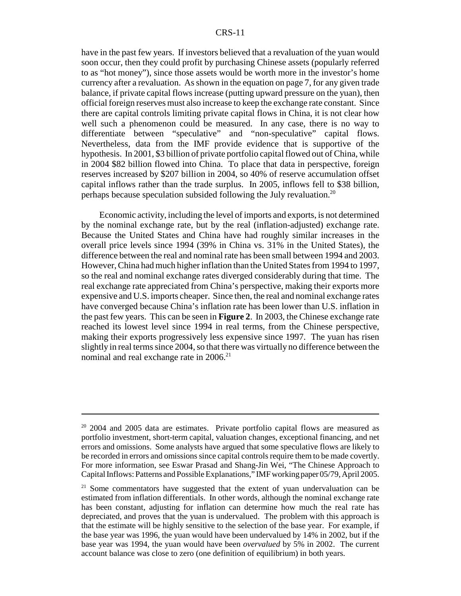have in the past few years. If investors believed that a revaluation of the yuan would soon occur, then they could profit by purchasing Chinese assets (popularly referred to as "hot money"), since those assets would be worth more in the investor's home currency after a revaluation. As shown in the equation on page 7, for any given trade balance, if private capital flows increase (putting upward pressure on the yuan), then official foreign reserves must also increase to keep the exchange rate constant. Since there are capital controls limiting private capital flows in China, it is not clear how well such a phenomenon could be measured. In any case, there is no way to differentiate between "speculative" and "non-speculative" capital flows. Nevertheless, data from the IMF provide evidence that is supportive of the hypothesis. In 2001, \$3 billion of private portfolio capital flowed out of China, while in 2004 \$82 billion flowed into China. To place that data in perspective, foreign reserves increased by \$207 billion in 2004, so 40% of reserve accumulation offset capital inflows rather than the trade surplus. In 2005, inflows fell to \$38 billion, perhaps because speculation subsided following the July revaluation.20

Economic activity, including the level of imports and exports, is not determined by the nominal exchange rate, but by the real (inflation-adjusted) exchange rate. Because the United States and China have had roughly similar increases in the overall price levels since 1994 (39% in China vs. 31% in the United States), the difference between the real and nominal rate has been small between 1994 and 2003. However, China had much higher inflation than the United States from 1994 to 1997, so the real and nominal exchange rates diverged considerably during that time. The real exchange rate appreciated from China's perspective, making their exports more expensive and U.S. imports cheaper. Since then, the real and nominal exchange rates have converged because China's inflation rate has been lower than U.S. inflation in the past few years. This can be seen in **Figure 2**. In 2003, the Chinese exchange rate reached its lowest level since 1994 in real terms, from the Chinese perspective, making their exports progressively less expensive since 1997. The yuan has risen slightly in real terms since 2004, so that there was virtually no difference between the nominal and real exchange rate in  $2006$ <sup>21</sup>

<sup>&</sup>lt;sup>20</sup> 2004 and 2005 data are estimates. Private portfolio capital flows are measured as portfolio investment, short-term capital, valuation changes, exceptional financing, and net errors and omissions. Some analysts have argued that some speculative flows are likely to be recorded in errors and omissions since capital controls require them to be made covertly. For more information, see Eswar Prasad and Shang-Jin Wei, "The Chinese Approach to Capital Inflows: Patterns and Possible Explanations," IMF working paper 05/79, April 2005.

 $21$  Some commentators have suggested that the extent of yuan undervaluation can be estimated from inflation differentials. In other words, although the nominal exchange rate has been constant, adjusting for inflation can determine how much the real rate has depreciated, and proves that the yuan is undervalued. The problem with this approach is that the estimate will be highly sensitive to the selection of the base year. For example, if the base year was 1996, the yuan would have been undervalued by 14% in 2002, but if the base year was 1994, the yuan would have been *overvalued* by 5% in 2002. The current account balance was close to zero (one definition of equilibrium) in both years.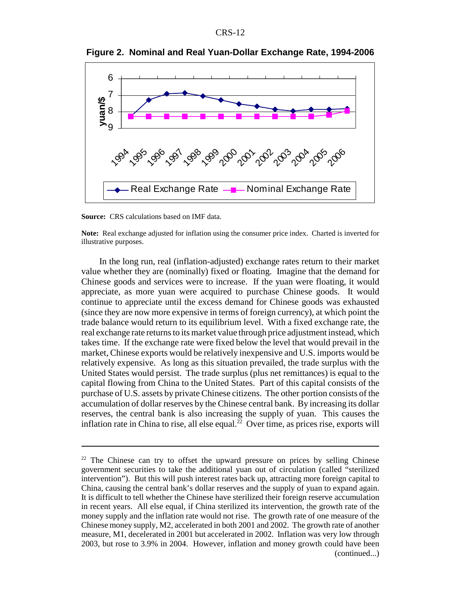

**Figure 2. Nominal and Real Yuan-Dollar Exchange Rate, 1994-2006**

**Source:** CRS calculations based on IMF data.

**Note:** Real exchange adjusted for inflation using the consumer price index. Charted is inverted for illustrative purposes.

In the long run, real (inflation-adjusted) exchange rates return to their market value whether they are (nominally) fixed or floating. Imagine that the demand for Chinese goods and services were to increase. If the yuan were floating, it would appreciate, as more yuan were acquired to purchase Chinese goods. It would continue to appreciate until the excess demand for Chinese goods was exhausted (since they are now more expensive in terms of foreign currency), at which point the trade balance would return to its equilibrium level. With a fixed exchange rate, the real exchange rate returns to its market value through price adjustment instead, which takes time. If the exchange rate were fixed below the level that would prevail in the market, Chinese exports would be relatively inexpensive and U.S. imports would be relatively expensive. As long as this situation prevailed, the trade surplus with the United States would persist. The trade surplus (plus net remittances) is equal to the capital flowing from China to the United States. Part of this capital consists of the purchase of U.S. assets by private Chinese citizens. The other portion consists of the accumulation of dollar reserves by the Chinese central bank. By increasing its dollar reserves, the central bank is also increasing the supply of yuan. This causes the inflation rate in China to rise, all else equal.<sup>22</sup> Over time, as prices rise, exports will

 $22$  The Chinese can try to offset the upward pressure on prices by selling Chinese government securities to take the additional yuan out of circulation (called "sterilized intervention"). But this will push interest rates back up, attracting more foreign capital to China, causing the central bank's dollar reserves and the supply of yuan to expand again. It is difficult to tell whether the Chinese have sterilized their foreign reserve accumulation in recent years. All else equal, if China sterilized its intervention, the growth rate of the money supply and the inflation rate would not rise. The growth rate of one measure of the Chinese money supply, M2, accelerated in both 2001 and 2002. The growth rate of another measure, M1, decelerated in 2001 but accelerated in 2002. Inflation was very low through 2003, but rose to 3.9% in 2004. However, inflation and money growth could have been (continued...)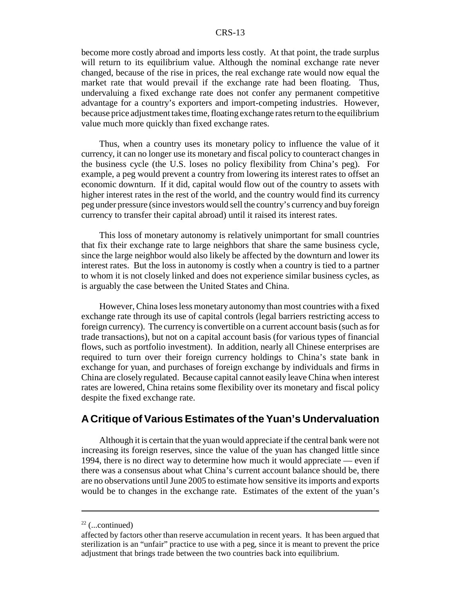become more costly abroad and imports less costly. At that point, the trade surplus will return to its equilibrium value. Although the nominal exchange rate never changed, because of the rise in prices, the real exchange rate would now equal the market rate that would prevail if the exchange rate had been floating. Thus, undervaluing a fixed exchange rate does not confer any permanent competitive advantage for a country's exporters and import-competing industries. However, because price adjustment takes time, floating exchange rates return to the equilibrium value much more quickly than fixed exchange rates.

Thus, when a country uses its monetary policy to influence the value of it currency, it can no longer use its monetary and fiscal policy to counteract changes in the business cycle (the U.S. loses no policy flexibility from China's peg). For example, a peg would prevent a country from lowering its interest rates to offset an economic downturn. If it did, capital would flow out of the country to assets with higher interest rates in the rest of the world, and the country would find its currency peg under pressure (since investors would sell the country's currency and buy foreign currency to transfer their capital abroad) until it raised its interest rates.

This loss of monetary autonomy is relatively unimportant for small countries that fix their exchange rate to large neighbors that share the same business cycle, since the large neighbor would also likely be affected by the downturn and lower its interest rates. But the loss in autonomy is costly when a country is tied to a partner to whom it is not closely linked and does not experience similar business cycles, as is arguably the case between the United States and China.

However, China loses less monetary autonomy than most countries with a fixed exchange rate through its use of capital controls (legal barriers restricting access to foreign currency). The currency is convertible on a current account basis (such as for trade transactions), but not on a capital account basis (for various types of financial flows, such as portfolio investment). In addition, nearly all Chinese enterprises are required to turn over their foreign currency holdings to China's state bank in exchange for yuan, and purchases of foreign exchange by individuals and firms in China are closely regulated. Because capital cannot easily leave China when interest rates are lowered, China retains some flexibility over its monetary and fiscal policy despite the fixed exchange rate.

#### **A Critique of Various Estimates of the Yuan's Undervaluation**

Although it is certain that the yuan would appreciate if the central bank were not increasing its foreign reserves, since the value of the yuan has changed little since 1994, there is no direct way to determine how much it would appreciate — even if there was a consensus about what China's current account balance should be, there are no observations until June 2005 to estimate how sensitive its imports and exports would be to changes in the exchange rate. Estimates of the extent of the yuan's

 $22$  (...continued)

affected by factors other than reserve accumulation in recent years. It has been argued that sterilization is an "unfair" practice to use with a peg, since it is meant to prevent the price adjustment that brings trade between the two countries back into equilibrium.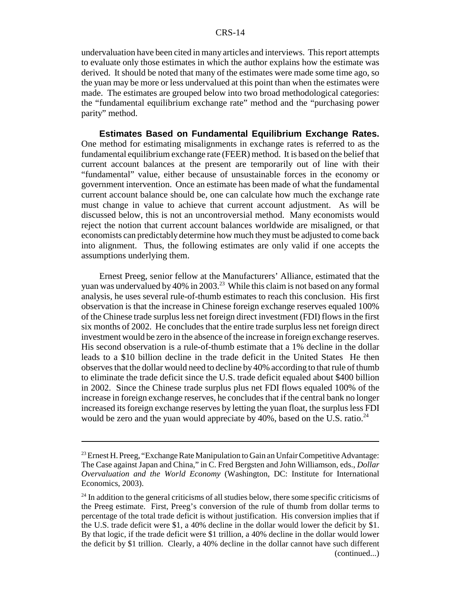undervaluation have been cited in many articles and interviews. This report attempts to evaluate only those estimates in which the author explains how the estimate was derived. It should be noted that many of the estimates were made some time ago, so the yuan may be more or less undervalued at this point than when the estimates were made. The estimates are grouped below into two broad methodological categories: the "fundamental equilibrium exchange rate" method and the "purchasing power parity" method.

**Estimates Based on Fundamental Equilibrium Exchange Rates.** One method for estimating misalignments in exchange rates is referred to as the fundamental equilibrium exchange rate (FEER) method. It is based on the belief that current account balances at the present are temporarily out of line with their "fundamental" value, either because of unsustainable forces in the economy or government intervention. Once an estimate has been made of what the fundamental current account balance should be, one can calculate how much the exchange rate must change in value to achieve that current account adjustment. As will be discussed below, this is not an uncontroversial method. Many economists would reject the notion that current account balances worldwide are misaligned, or that economists can predictably determine how much they must be adjusted to come back into alignment. Thus, the following estimates are only valid if one accepts the assumptions underlying them.

Ernest Preeg, senior fellow at the Manufacturers' Alliance, estimated that the yuan was undervalued by 40% in 2003.<sup>23</sup> While this claim is not based on any formal analysis, he uses several rule-of-thumb estimates to reach this conclusion. His first observation is that the increase in Chinese foreign exchange reserves equaled 100% of the Chinese trade surplus less net foreign direct investment (FDI) flows in the first six months of 2002. He concludes that the entire trade surplus less net foreign direct investment would be zero in the absence of the increase in foreign exchange reserves. His second observation is a rule-of-thumb estimate that a 1% decline in the dollar leads to a \$10 billion decline in the trade deficit in the United States He then observes that the dollar would need to decline by 40% according to that rule of thumb to eliminate the trade deficit since the U.S. trade deficit equaled about \$400 billion in 2002. Since the Chinese trade surplus plus net FDI flows equaled 100% of the increase in foreign exchange reserves, he concludes that if the central bank no longer increased its foreign exchange reserves by letting the yuan float, the surplus less FDI would be zero and the yuan would appreciate by  $40\%$ , based on the U.S. ratio.<sup>24</sup>

<sup>&</sup>lt;sup>23</sup> Ernest H. Preeg, "Exchange Rate Manipulation to Gain an Unfair Competitive Advantage: The Case against Japan and China," in C. Fred Bergsten and John Williamson, eds., *Dollar Overvaluation and the World Economy* (Washington, DC: Institute for International Economics, 2003).

 $24$  In addition to the general criticisms of all studies below, there some specific criticisms of the Preeg estimate. First, Preeg's conversion of the rule of thumb from dollar terms to percentage of the total trade deficit is without justification. His conversion implies that if the U.S. trade deficit were \$1, a 40% decline in the dollar would lower the deficit by \$1. By that logic, if the trade deficit were \$1 trillion, a 40% decline in the dollar would lower the deficit by \$1 trillion. Clearly, a 40% decline in the dollar cannot have such different (continued...)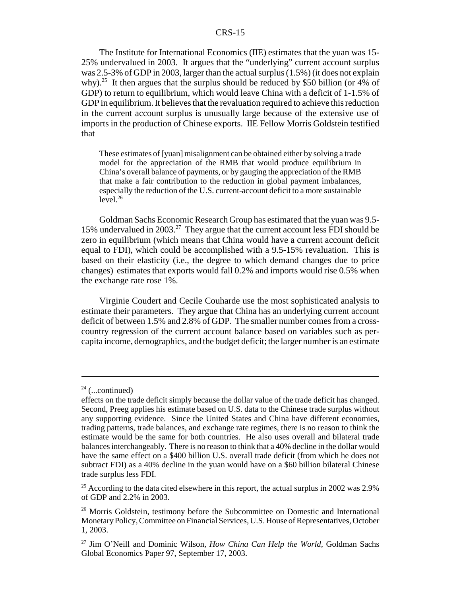The Institute for International Economics (IIE) estimates that the yuan was 15- 25% undervalued in 2003. It argues that the "underlying" current account surplus was 2.5-3% of GDP in 2003, larger than the actual surplus (1.5%) (it does not explain why).<sup>25</sup> It then argues that the surplus should be reduced by \$50 billion (or 4% of GDP) to return to equilibrium, which would leave China with a deficit of 1-1.5% of GDP in equilibrium. It believes that the revaluation required to achieve this reduction in the current account surplus is unusually large because of the extensive use of imports in the production of Chinese exports. IIE Fellow Morris Goldstein testified that

These estimates of [yuan] misalignment can be obtained either by solving a trade model for the appreciation of the RMB that would produce equilibrium in China's overall balance of payments, or by gauging the appreciation of the RMB that make a fair contribution to the reduction in global payment imbalances, especially the reduction of the U.S. current-account deficit to a more sustainable  $level.<sup>26</sup>$ 

Goldman Sachs Economic Research Group has estimated that the yuan was 9.5- 15% undervalued in 2003.27 They argue that the current account less FDI should be zero in equilibrium (which means that China would have a current account deficit equal to FDI), which could be accomplished with a 9.5-15% revaluation. This is based on their elasticity (i.e., the degree to which demand changes due to price changes) estimates that exports would fall 0.2% and imports would rise 0.5% when the exchange rate rose 1%.

Virginie Coudert and Cecile Couharde use the most sophisticated analysis to estimate their parameters. They argue that China has an underlying current account deficit of between 1.5% and 2.8% of GDP. The smaller number comes from a crosscountry regression of the current account balance based on variables such as percapita income, demographics, and the budget deficit; the larger number is an estimate

 $24$  (...continued)

effects on the trade deficit simply because the dollar value of the trade deficit has changed. Second, Preeg applies his estimate based on U.S. data to the Chinese trade surplus without any supporting evidence. Since the United States and China have different economies, trading patterns, trade balances, and exchange rate regimes, there is no reason to think the estimate would be the same for both countries. He also uses overall and bilateral trade balances interchangeably. There is no reason to think that a 40% decline in the dollar would have the same effect on a \$400 billion U.S. overall trade deficit (from which he does not subtract FDI) as a 40% decline in the yuan would have on a \$60 billion bilateral Chinese trade surplus less FDI.

 $25$  According to the data cited elsewhere in this report, the actual surplus in 2002 was 2.9% of GDP and 2.2% in 2003.

<sup>&</sup>lt;sup>26</sup> Morris Goldstein, testimony before the Subcommittee on Domestic and International Monetary Policy, Committee on Financial Services, U.S. House of Representatives, October 1, 2003.

<sup>27</sup> Jim O'Neill and Dominic Wilson, *How China Can Help the World,* Goldman Sachs Global Economics Paper 97, September 17, 2003.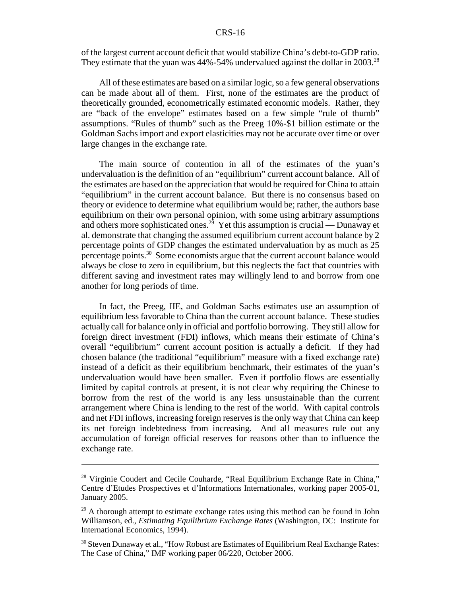of the largest current account deficit that would stabilize China's debt-to-GDP ratio. They estimate that the yuan was  $44\%$ -54% undervalued against the dollar in 2003.<sup>28</sup>

All of these estimates are based on a similar logic, so a few general observations can be made about all of them. First, none of the estimates are the product of theoretically grounded, econometrically estimated economic models. Rather, they are "back of the envelope" estimates based on a few simple "rule of thumb" assumptions. "Rules of thumb" such as the Preeg 10%-\$1 billion estimate or the Goldman Sachs import and export elasticities may not be accurate over time or over large changes in the exchange rate.

The main source of contention in all of the estimates of the yuan's undervaluation is the definition of an "equilibrium" current account balance. All of the estimates are based on the appreciation that would be required for China to attain "equilibrium" in the current account balance. But there is no consensus based on theory or evidence to determine what equilibrium would be; rather, the authors base equilibrium on their own personal opinion, with some using arbitrary assumptions and others more sophisticated ones.<sup>29</sup> Yet this assumption is crucial — Dunaway et al. demonstrate that changing the assumed equilibrium current account balance by 2 percentage points of GDP changes the estimated undervaluation by as much as 25 percentage points.30 Some economists argue that the current account balance would always be close to zero in equilibrium, but this neglects the fact that countries with different saving and investment rates may willingly lend to and borrow from one another for long periods of time.

In fact, the Preeg, IIE, and Goldman Sachs estimates use an assumption of equilibrium less favorable to China than the current account balance. These studies actually call for balance only in official and portfolio borrowing. They still allow for foreign direct investment (FDI) inflows, which means their estimate of China's overall "equilibrium" current account position is actually a deficit. If they had chosen balance (the traditional "equilibrium" measure with a fixed exchange rate) instead of a deficit as their equilibrium benchmark, their estimates of the yuan's undervaluation would have been smaller. Even if portfolio flows are essentially limited by capital controls at present, it is not clear why requiring the Chinese to borrow from the rest of the world is any less unsustainable than the current arrangement where China is lending to the rest of the world. With capital controls and net FDI inflows, increasing foreign reserves is the only way that China can keep its net foreign indebtedness from increasing. And all measures rule out any accumulation of foreign official reserves for reasons other than to influence the exchange rate.

<sup>28</sup> Virginie Coudert and Cecile Couharde, "Real Equilibrium Exchange Rate in China," Centre d'Etudes Prospectives et d'Informations Internationales, working paper 2005-01, January 2005.

 $29$  A thorough attempt to estimate exchange rates using this method can be found in John Williamson, ed., *Estimating Equilibrium Exchange Rates* (Washington, DC: Institute for International Economics, 1994).

<sup>&</sup>lt;sup>30</sup> Steven Dunaway et al., "How Robust are Estimates of Equilibrium Real Exchange Rates: The Case of China," IMF working paper 06/220, October 2006.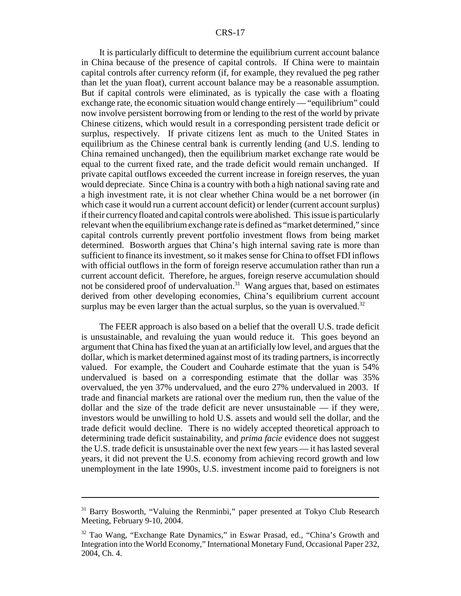It is particularly difficult to determine the equilibrium current account balance in China because of the presence of capital controls. If China were to maintain capital controls after currency reform (if, for example, they revalued the peg rather than let the yuan float), current account balance may be a reasonable assumption. But if capital controls were eliminated, as is typically the case with a floating exchange rate, the economic situation would change entirely — "equilibrium" could now involve persistent borrowing from or lending to the rest of the world by private Chinese citizens, which would result in a corresponding persistent trade deficit or surplus, respectively. If private citizens lent as much to the United States in equilibrium as the Chinese central bank is currently lending (and U.S. lending to China remained unchanged), then the equilibrium market exchange rate would be equal to the current fixed rate, and the trade deficit would remain unchanged. If private capital outflows exceeded the current increase in foreign reserves, the yuan would depreciate. Since China is a country with both a high national saving rate and a high investment rate, it is not clear whether China would be a net borrower (in which case it would run a current account deficit) or lender (current account surplus) if their currency floated and capital controls were abolished. This issue is particularly relevant when the equilibrium exchange rate is defined as "market determined," since capital controls currently prevent portfolio investment flows from being market determined. Bosworth argues that China's high internal saving rate is more than sufficient to finance its investment, so it makes sense for China to offset FDI inflows with official outflows in the form of foreign reserve accumulation rather than run a current account deficit. Therefore, he argues, foreign reserve accumulation should not be considered proof of undervaluation. $31$  Wang argues that, based on estimates derived from other developing economies, China's equilibrium current account surplus may be even larger than the actual surplus, so the yuan is overvalued.<sup>32</sup>

The FEER approach is also based on a belief that the overall U.S. trade deficit is unsustainable, and revaluing the yuan would reduce it. This goes beyond an argument that China has fixed the yuan at an artificially low level, and argues that the dollar, which is market determined against most of its trading partners, is incorrectly valued. For example, the Coudert and Couharde estimate that the yuan is 54% undervalued is based on a corresponding estimate that the dollar was 35% overvalued, the yen 37% undervalued, and the euro 27% undervalued in 2003. If trade and financial markets are rational over the medium run, then the value of the dollar and the size of the trade deficit are never unsustainable — if they were, investors would be unwilling to hold U.S. assets and would sell the dollar, and the trade deficit would decline. There is no widely accepted theoretical approach to determining trade deficit sustainability, and *prima facie* evidence does not suggest the U.S. trade deficit is unsustainable over the next few years — it has lasted several years, it did not prevent the U.S. economy from achieving record growth and low unemployment in the late 1990s, U.S. investment income paid to foreigners is not

<sup>&</sup>lt;sup>31</sup> Barry Bosworth, "Valuing the Renminbi," paper presented at Tokyo Club Research Meeting, February 9-10, 2004.

<sup>32</sup> Tao Wang, "Exchange Rate Dynamics," in Eswar Prasad, ed., "China's Growth and Integration into the World Economy," International Monetary Fund, Occasional Paper 232, 2004, Ch. 4.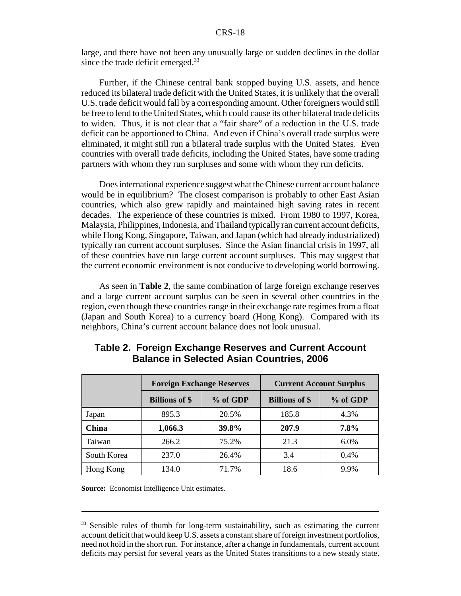large, and there have not been any unusually large or sudden declines in the dollar since the trade deficit emerged.<sup>33</sup>

Further, if the Chinese central bank stopped buying U.S. assets, and hence reduced its bilateral trade deficit with the United States, it is unlikely that the overall U.S. trade deficit would fall by a corresponding amount. Other foreigners would still be free to lend to the United States, which could cause its other bilateral trade deficits to widen. Thus, it is not clear that a "fair share" of a reduction in the U.S. trade deficit can be apportioned to China. And even if China's overall trade surplus were eliminated, it might still run a bilateral trade surplus with the United States. Even countries with overall trade deficits, including the United States, have some trading partners with whom they run surpluses and some with whom they run deficits.

Does international experience suggest what the Chinese current account balance would be in equilibrium? The closest comparison is probably to other East Asian countries, which also grew rapidly and maintained high saving rates in recent decades. The experience of these countries is mixed. From 1980 to 1997, Korea, Malaysia, Philippines, Indonesia, and Thailand typically ran current account deficits, while Hong Kong, Singapore, Taiwan, and Japan (which had already industrialized) typically ran current account surpluses. Since the Asian financial crisis in 1997, all of these countries have run large current account surpluses. This may suggest that the current economic environment is not conducive to developing world borrowing.

As seen in **Table 2**, the same combination of large foreign exchange reserves and a large current account surplus can be seen in several other countries in the region, even though these countries range in their exchange rate regimes from a float (Japan and South Korea) to a currency board (Hong Kong). Compared with its neighbors, China's current account balance does not look unusual.

|             | <b>Foreign Exchange Reserves</b> |          |                       | <b>Current Account Surplus</b> |  |
|-------------|----------------------------------|----------|-----------------------|--------------------------------|--|
|             | <b>Billions of \$</b>            | % of GDP | <b>Billions of \$</b> | % of GDP                       |  |
| Japan       | 895.3                            | 20.5%    | 185.8                 | 4.3%                           |  |
| China       | 1,066.3                          | 39.8%    | 207.9                 | 7.8%                           |  |
| Taiwan      | 266.2                            | 75.2%    | 21.3                  | 6.0%                           |  |
| South Korea | 237.0                            | 26.4%    | 3.4                   | 0.4%                           |  |
| Hong Kong   | 134.0                            | 71.7%    | 18.6                  | 9.9%                           |  |

#### **Table 2. Foreign Exchange Reserves and Current Account Balance in Selected Asian Countries, 2006**

**Source:** Economist Intelligence Unit estimates.

<sup>&</sup>lt;sup>33</sup> Sensible rules of thumb for long-term sustainability, such as estimating the current account deficit that would keep U.S. assets a constant share of foreign investment portfolios, need not hold in the short run. For instance, after a change in fundamentals, current account deficits may persist for several years as the United States transitions to a new steady state.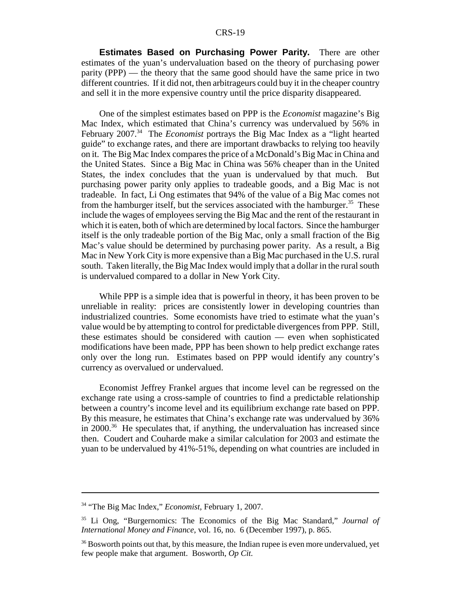**Estimates Based on Purchasing Power Parity.** There are other estimates of the yuan's undervaluation based on the theory of purchasing power parity (PPP) — the theory that the same good should have the same price in two different countries. If it did not, then arbitrageurs could buy it in the cheaper country and sell it in the more expensive country until the price disparity disappeared.

One of the simplest estimates based on PPP is the *Economist* magazine's Big Mac Index, which estimated that China's currency was undervalued by 56% in February 2007.<sup>34</sup> The *Economist* portrays the Big Mac Index as a "light hearted guide" to exchange rates, and there are important drawbacks to relying too heavily on it. The Big Mac Index compares the price of a McDonald's Big Mac in China and the United States. Since a Big Mac in China was 56% cheaper than in the United States, the index concludes that the yuan is undervalued by that much. But purchasing power parity only applies to tradeable goods, and a Big Mac is not tradeable. In fact, Li Ong estimates that 94% of the value of a Big Mac comes not from the hamburger itself, but the services associated with the hamburger.<sup>35</sup> These include the wages of employees serving the Big Mac and the rent of the restaurant in which it is eaten, both of which are determined by local factors. Since the hamburger itself is the only tradeable portion of the Big Mac, only a small fraction of the Big Mac's value should be determined by purchasing power parity. As a result, a Big Mac in New York City is more expensive than a Big Mac purchased in the U.S. rural south. Taken literally, the Big Mac Index would imply that a dollar in the rural south is undervalued compared to a dollar in New York City.

While PPP is a simple idea that is powerful in theory, it has been proven to be unreliable in reality: prices are consistently lower in developing countries than industrialized countries. Some economists have tried to estimate what the yuan's value would be by attempting to control for predictable divergences from PPP. Still, these estimates should be considered with caution — even when sophisticated modifications have been made, PPP has been shown to help predict exchange rates only over the long run. Estimates based on PPP would identify any country's currency as overvalued or undervalued.

Economist Jeffrey Frankel argues that income level can be regressed on the exchange rate using a cross-sample of countries to find a predictable relationship between a country's income level and its equilibrium exchange rate based on PPP. By this measure, he estimates that China's exchange rate was undervalued by 36% in  $2000$ <sup>36</sup> He speculates that, if anything, the undervaluation has increased since then. Coudert and Couharde make a similar calculation for 2003 and estimate the yuan to be undervalued by 41%-51%, depending on what countries are included in

<sup>34 &</sup>quot;The Big Mac Index," *Economist*, February 1, 2007.

<sup>35</sup> Li Ong, "Burgernomics: The Economics of the Big Mac Standard," *Journal of International Money and Finance*, vol. 16, no. 6 (December 1997), p. 865.

<sup>&</sup>lt;sup>36</sup> Bosworth points out that, by this measure, the Indian rupee is even more undervalued, yet few people make that argument. Bosworth, *Op Cit.*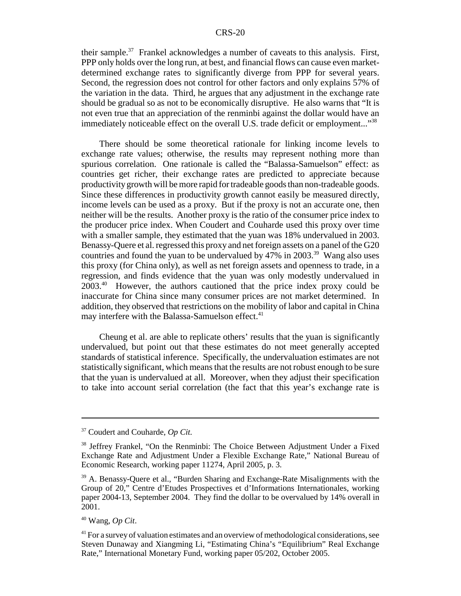their sample.<sup>37</sup> Frankel acknowledges a number of caveats to this analysis. First, PPP only holds over the long run, at best, and financial flows can cause even marketdetermined exchange rates to significantly diverge from PPP for several years. Second, the regression does not control for other factors and only explains 57% of the variation in the data. Third, he argues that any adjustment in the exchange rate should be gradual so as not to be economically disruptive. He also warns that "It is not even true that an appreciation of the renminbi against the dollar would have an immediately noticeable effect on the overall U.S. trade deficit or employment..."<sup>38</sup>

There should be some theoretical rationale for linking income levels to exchange rate values; otherwise, the results may represent nothing more than spurious correlation. One rationale is called the "Balassa-Samuelson" effect: as countries get richer, their exchange rates are predicted to appreciate because productivity growth will be more rapid for tradeable goods than non-tradeable goods. Since these differences in productivity growth cannot easily be measured directly, income levels can be used as a proxy. But if the proxy is not an accurate one, then neither will be the results. Another proxy is the ratio of the consumer price index to the producer price index. When Coudert and Couharde used this proxy over time with a smaller sample, they estimated that the yuan was 18% undervalued in 2003. Benassy-Quere et al. regressed this proxy and net foreign assets on a panel of the G20 countries and found the yuan to be undervalued by  $47\%$  in  $2003.^{39}$  Wang also uses this proxy (for China only), as well as net foreign assets and openness to trade, in a regression, and finds evidence that the yuan was only modestly undervalued in 2003.40 However, the authors cautioned that the price index proxy could be inaccurate for China since many consumer prices are not market determined. In addition, they observed that restrictions on the mobility of labor and capital in China may interfere with the Balassa-Samuelson effect.<sup>41</sup>

Cheung et al. are able to replicate others' results that the yuan is significantly undervalued, but point out that these estimates do not meet generally accepted standards of statistical inference. Specifically, the undervaluation estimates are not statistically significant, which means that the results are not robust enough to be sure that the yuan is undervalued at all. Moreover, when they adjust their specification to take into account serial correlation (the fact that this year's exchange rate is

<sup>37</sup> Coudert and Couharde, *Op Cit.*

<sup>&</sup>lt;sup>38</sup> Jeffrey Frankel, "On the Renminbi: The Choice Between Adjustment Under a Fixed Exchange Rate and Adjustment Under a Flexible Exchange Rate," National Bureau of Economic Research, working paper 11274, April 2005, p. 3.

<sup>39</sup> A. Benassy-Quere et al., "Burden Sharing and Exchange-Rate Misalignments with the Group of 20," Centre d'Etudes Prospectives et d'Informations Internationales, working paper 2004-13, September 2004. They find the dollar to be overvalued by 14% overall in 2001.

<sup>40</sup> Wang, *Op Cit*.

<sup>&</sup>lt;sup>41</sup> For a survey of valuation estimates and an overview of methodological considerations, see Steven Dunaway and Xiangming Li, "Estimating China's "Equilibrium" Real Exchange Rate," International Monetary Fund, working paper 05/202, October 2005.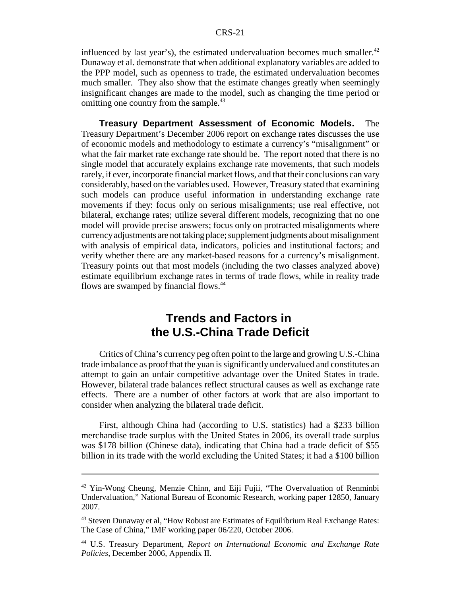influenced by last year's), the estimated undervaluation becomes much smaller.<sup>42</sup> Dunaway et al. demonstrate that when additional explanatory variables are added to the PPP model, such as openness to trade, the estimated undervaluation becomes much smaller. They also show that the estimate changes greatly when seemingly insignificant changes are made to the model, such as changing the time period or omitting one country from the sample.<sup>43</sup>

**Treasury Department Assessment of Economic Models.** The Treasury Department's December 2006 report on exchange rates discusses the use of economic models and methodology to estimate a currency's "misalignment" or what the fair market rate exchange rate should be. The report noted that there is no single model that accurately explains exchange rate movements, that such models rarely, if ever, incorporate financial market flows, and that their conclusions can vary considerably, based on the variables used. However, Treasury stated that examining such models can produce useful information in understanding exchange rate movements if they: focus only on serious misalignments; use real effective, not bilateral, exchange rates; utilize several different models, recognizing that no one model will provide precise answers; focus only on protracted misalignments where currency adjustments are not taking place; supplement judgments about misalignment with analysis of empirical data, indicators, policies and institutional factors; and verify whether there are any market-based reasons for a currency's misalignment. Treasury points out that most models (including the two classes analyzed above) estimate equilibrium exchange rates in terms of trade flows, while in reality trade flows are swamped by financial flows.<sup>44</sup>

### **Trends and Factors in the U.S.-China Trade Deficit**

Critics of China's currency peg often point to the large and growing U.S.-China trade imbalance as proof that the yuan is significantly undervalued and constitutes an attempt to gain an unfair competitive advantage over the United States in trade. However, bilateral trade balances reflect structural causes as well as exchange rate effects. There are a number of other factors at work that are also important to consider when analyzing the bilateral trade deficit.

First, although China had (according to U.S. statistics) had a \$233 billion merchandise trade surplus with the United States in 2006, its overall trade surplus was \$178 billion (Chinese data), indicating that China had a trade deficit of \$55 billion in its trade with the world excluding the United States; it had a \$100 billion

<sup>&</sup>lt;sup>42</sup> Yin-Wong Cheung, Menzie Chinn, and Eiji Fujii, "The Overvaluation of Renminbi Undervaluation," National Bureau of Economic Research, working paper 12850, January 2007.

<sup>&</sup>lt;sup>43</sup> Steven Dunaway et al, "How Robust are Estimates of Equilibrium Real Exchange Rates: The Case of China," IMF working paper 06/220, October 2006.

<sup>44</sup> U.S. Treasury Department, *Report on International Economic and Exchange Rate Policies*, December 2006, Appendix II.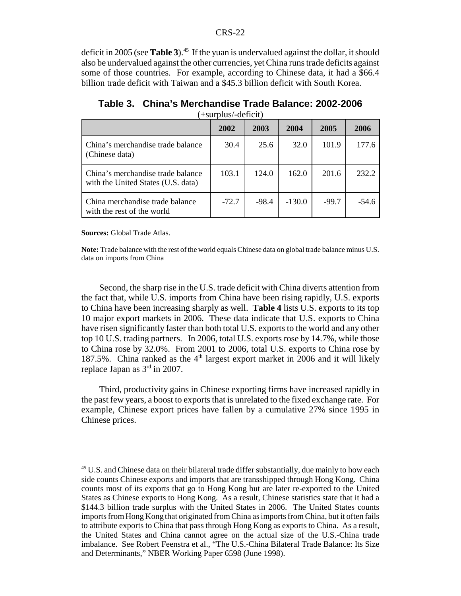deficit in 2005 (see **Table 3**).<sup>45</sup> If the yuan is undervalued against the dollar, it should also be undervalued against the other currencies, yet China runs trade deficits against some of those countries. For example, according to Chinese data, it had a \$66.4 billion trade deficit with Taiwan and a \$45.3 billion deficit with South Korea.

|                                                                         | 2002    | 2003    | 2004     | 2005    | 2006    |
|-------------------------------------------------------------------------|---------|---------|----------|---------|---------|
| China's merchandise trade balance<br>(Chinese data)                     | 30.4    | 25.6    | 32.0     | 101.9   | 177.6   |
| China's merchandise trade balance<br>with the United States (U.S. data) | 103.1   | 124.0   | 162.0    | 201.6   | 232.2   |
| China merchandise trade balance<br>with the rest of the world           | $-72.7$ | $-98.4$ | $-130.0$ | $-99.7$ | $-54.6$ |

#### **Table 3. China's Merchandise Trade Balance: 2002-2006**  $(+surnlus/deficit)$

**Sources:** Global Trade Atlas.

**Note:** Trade balance with the rest of the world equals Chinese data on global trade balance minus U.S. data on imports from China

Second, the sharp rise in the U.S. trade deficit with China diverts attention from the fact that, while U.S. imports from China have been rising rapidly, U.S. exports to China have been increasing sharply as well. **Table 4** lists U.S. exports to its top 10 major export markets in 2006. These data indicate that U.S. exports to China have risen significantly faster than both total U.S. exports to the world and any other top 10 U.S. trading partners. In 2006, total U.S. exports rose by 14.7%, while those to China rose by 32.0%. From 2001 to 2006, total U.S. exports to China rose by 187.5%. China ranked as the  $4<sup>th</sup>$  largest export market in 2006 and it will likely replace Japan as 3rd in 2007.

Third, productivity gains in Chinese exporting firms have increased rapidly in the past few years, a boost to exports that is unrelated to the fixed exchange rate. For example, Chinese export prices have fallen by a cumulative 27% since 1995 in Chinese prices.

<sup>&</sup>lt;sup>45</sup> U.S. and Chinese data on their bilateral trade differ substantially, due mainly to how each side counts Chinese exports and imports that are transshipped through Hong Kong. China counts most of its exports that go to Hong Kong but are later re-exported to the United States as Chinese exports to Hong Kong. As a result, Chinese statistics state that it had a \$144.3 billion trade surplus with the United States in 2006. The United States counts imports from Hong Kong that originated from China as imports from China, but it often fails to attribute exports to China that pass through Hong Kong as exports to China. As a result, the United States and China cannot agree on the actual size of the U.S.-China trade imbalance. See Robert Feenstra et al., "The U.S.-China Bilateral Trade Balance: Its Size and Determinants," NBER Working Paper 6598 (June 1998).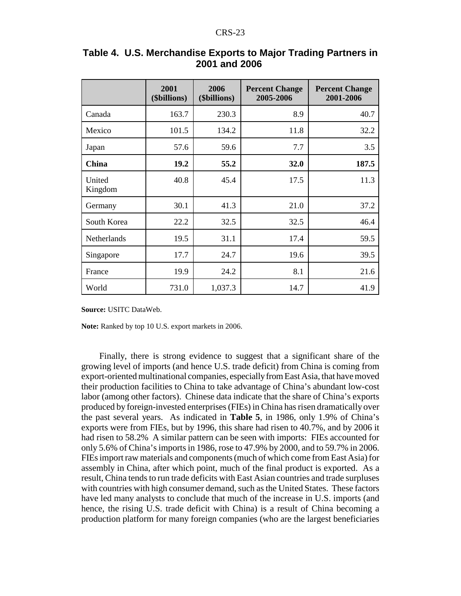|                   | 2001<br>(\$billions) | 2006<br>(\$billions) | <b>Percent Change</b><br>2005-2006 | <b>Percent Change</b><br>2001-2006 |
|-------------------|----------------------|----------------------|------------------------------------|------------------------------------|
| Canada            | 163.7                | 230.3                | 8.9                                | 40.7                               |
| Mexico            | 101.5                | 134.2                | 11.8                               | 32.2                               |
| Japan             | 57.6                 | 59.6                 | 7.7                                | 3.5                                |
| China             | 19.2                 | 55.2                 | 32.0                               | 187.5                              |
| United<br>Kingdom | 40.8                 | 45.4                 | 17.5                               | 11.3                               |
| Germany           | 30.1                 | 41.3                 | 21.0                               | 37.2                               |
| South Korea       | 22.2                 | 32.5                 | 32.5                               | 46.4                               |
| Netherlands       | 19.5                 | 31.1                 | 17.4                               | 59.5                               |
| Singapore         | 17.7                 | 24.7                 | 19.6                               | 39.5                               |
| France            | 19.9                 | 24.2                 | 8.1                                | 21.6                               |
| World             | 731.0                | 1,037.3              | 14.7                               | 41.9                               |

#### **Table 4. U.S. Merchandise Exports to Major Trading Partners in 2001 and 2006**

**Source:** USITC DataWeb.

**Note:** Ranked by top 10 U.S. export markets in 2006.

Finally, there is strong evidence to suggest that a significant share of the growing level of imports (and hence U.S. trade deficit) from China is coming from export-oriented multinational companies, especially from East Asia, that have moved their production facilities to China to take advantage of China's abundant low-cost labor (among other factors). Chinese data indicate that the share of China's exports produced by foreign-invested enterprises (FIEs) in China has risen dramatically over the past several years. As indicated in **Table 5**, in 1986, only 1.9% of China's exports were from FIEs, but by 1996, this share had risen to 40.7%, and by 2006 it had risen to 58.2% A similar pattern can be seen with imports: FIEs accounted for only 5.6% of China's imports in 1986, rose to 47.9% by 2000, and to 59.7% in 2006. FIEs import raw materials and components (much of which come from East Asia) for assembly in China, after which point, much of the final product is exported. As a result, China tends to run trade deficits with East Asian countries and trade surpluses with countries with high consumer demand, such as the United States. These factors have led many analysts to conclude that much of the increase in U.S. imports (and hence, the rising U.S. trade deficit with China) is a result of China becoming a production platform for many foreign companies (who are the largest beneficiaries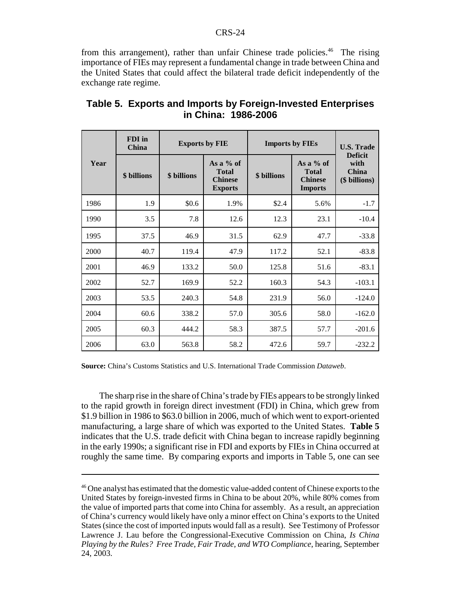from this arrangement), rather than unfair Chinese trade policies.<sup>46</sup> The rising importance of FIEs may represent a fundamental change in trade between China and the United States that could affect the bilateral trade deficit independently of the exchange rate regime.

|      | FDI in<br>China |             | <b>Exports by FIE</b>                                           |             | <b>Imports by FIEs</b>                                          |                                                         |
|------|-----------------|-------------|-----------------------------------------------------------------|-------------|-----------------------------------------------------------------|---------------------------------------------------------|
| Year | \$ billions     | \$ billions | As a $%$ of<br><b>Total</b><br><b>Chinese</b><br><b>Exports</b> | \$ billions | As a $%$ of<br><b>Total</b><br><b>Chinese</b><br><b>Imports</b> | <b>Deficit</b><br>with<br><b>China</b><br>(\$ billions) |
| 1986 | 1.9             | \$0.6       | 1.9%                                                            | \$2.4       | 5.6%                                                            | $-1.7$                                                  |
| 1990 | 3.5             | 7.8         | 12.6                                                            | 12.3        | 23.1                                                            | $-10.4$                                                 |
| 1995 | 37.5            | 46.9        | 31.5                                                            | 62.9        | 47.7                                                            | $-33.8$                                                 |
| 2000 | 40.7            | 119.4       | 47.9                                                            | 117.2       | 52.1                                                            | $-83.8$                                                 |
| 2001 | 46.9            | 133.2       | 50.0                                                            | 125.8       | 51.6                                                            | $-83.1$                                                 |
| 2002 | 52.7            | 169.9       | 52.2                                                            | 160.3       | 54.3                                                            | $-103.1$                                                |
| 2003 | 53.5            | 240.3       | 54.8                                                            | 231.9       | 56.0                                                            | $-124.0$                                                |
| 2004 | 60.6            | 338.2       | 57.0                                                            | 305.6       | 58.0                                                            | $-162.0$                                                |
| 2005 | 60.3            | 444.2       | 58.3                                                            | 387.5       | 57.7                                                            | $-201.6$                                                |
| 2006 | 63.0            | 563.8       | 58.2                                                            | 472.6       | 59.7                                                            | $-232.2$                                                |

### **Table 5. Exports and Imports by Foreign-Invested Enterprises in China: 1986-2006**

**Source:** China's Customs Statistics and U.S. International Trade Commission *Dataweb*.

The sharp rise in the share of China's trade by FIEs appears to be strongly linked to the rapid growth in foreign direct investment (FDI) in China, which grew from \$1.9 billion in 1986 to \$63.0 billion in 2006, much of which went to export-oriented manufacturing, a large share of which was exported to the United States. **Table 5** indicates that the U.S. trade deficit with China began to increase rapidly beginning in the early 1990s; a significant rise in FDI and exports by FIEs in China occurred at roughly the same time. By comparing exports and imports in Table 5, one can see

<sup>&</sup>lt;sup>46</sup> One analyst has estimated that the domestic value-added content of Chinese exports to the United States by foreign-invested firms in China to be about 20%, while 80% comes from the value of imported parts that come into China for assembly. As a result, an appreciation of China's currency would likely have only a minor effect on China's exports to the United States (since the cost of imported inputs would fall as a result). See Testimony of Professor Lawrence J. Lau before the Congressional-Executive Commission on China, *Is China Playing by the Rules? Free Trade, Fair Trade, and WTO Compliance*, hearing, September 24, 2003.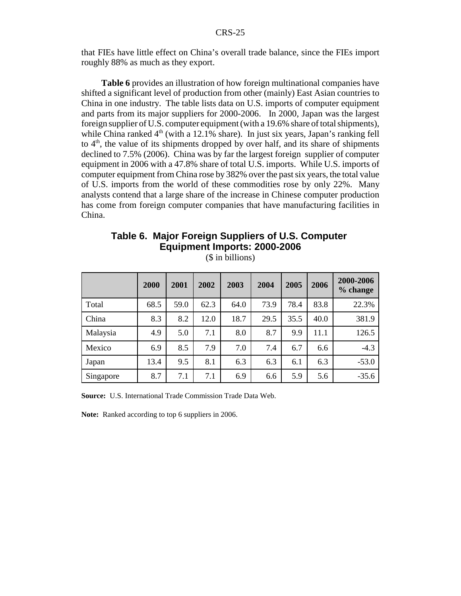that FIEs have little effect on China's overall trade balance, since the FIEs import roughly 88% as much as they export.

**Table 6** provides an illustration of how foreign multinational companies have shifted a significant level of production from other (mainly) East Asian countries to China in one industry. The table lists data on U.S. imports of computer equipment and parts from its major suppliers for 2000-2006. In 2000, Japan was the largest foreign supplier of U.S. computer equipment (with a 19.6% share of total shipments), while China ranked  $4<sup>th</sup>$  (with a 12.1% share). In just six years, Japan's ranking fell to  $4<sup>th</sup>$ , the value of its shipments dropped by over half, and its share of shipments declined to 7.5% (2006). China was by far the largest foreign supplier of computer equipment in 2006 with a 47.8% share of total U.S. imports. While U.S. imports of computer equipment from China rose by 382% over the past six years, the total value of U.S. imports from the world of these commodities rose by only 22%. Many analysts contend that a large share of the increase in Chinese computer production has come from foreign computer companies that have manufacturing facilities in China.

### **Table 6. Major Foreign Suppliers of U.S. Computer Equipment Imports: 2000-2006**

(\$ in billions)

|           | 2000 | 2001 | 2002 | 2003 | 2004 | 2005 | 2006 | 2000-2006<br>% change |
|-----------|------|------|------|------|------|------|------|-----------------------|
| Total     | 68.5 | 59.0 | 62.3 | 64.0 | 73.9 | 78.4 | 83.8 | 22.3%                 |
| China     | 8.3  | 8.2  | 12.0 | 18.7 | 29.5 | 35.5 | 40.0 | 381.9                 |
| Malaysia  | 4.9  | 5.0  | 7.1  | 8.0  | 8.7  | 9.9  | 11.1 | 126.5                 |
| Mexico    | 6.9  | 8.5  | 7.9  | 7.0  | 7.4  | 6.7  | 6.6  | $-4.3$                |
| Japan     | 13.4 | 9.5  | 8.1  | 6.3  | 6.3  | 6.1  | 6.3  | $-53.0$               |
| Singapore | 8.7  | 7.1  | 7.1  | 6.9  | 6.6  | 5.9  | 5.6  | $-35.6$               |

**Source:** U.S. International Trade Commission Trade Data Web.

**Note:** Ranked according to top 6 suppliers in 2006.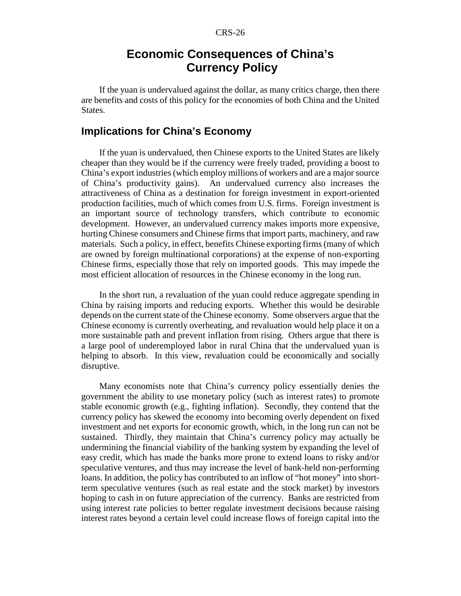### **Economic Consequences of China's Currency Policy**

If the yuan is undervalued against the dollar, as many critics charge, then there are benefits and costs of this policy for the economies of both China and the United States.

#### **Implications for China's Economy**

If the yuan is undervalued, then Chinese exports to the United States are likely cheaper than they would be if the currency were freely traded, providing a boost to China's export industries (which employ millions of workers and are a major source of China's productivity gains). An undervalued currency also increases the attractiveness of China as a destination for foreign investment in export-oriented production facilities, much of which comes from U.S. firms. Foreign investment is an important source of technology transfers, which contribute to economic development. However, an undervalued currency makes imports more expensive, hurting Chinese consumers and Chinese firms that import parts, machinery, and raw materials. Such a policy, in effect, benefits Chinese exporting firms (many of which are owned by foreign multinational corporations) at the expense of non-exporting Chinese firms, especially those that rely on imported goods. This may impede the most efficient allocation of resources in the Chinese economy in the long run.

In the short run, a revaluation of the yuan could reduce aggregate spending in China by raising imports and reducing exports. Whether this would be desirable depends on the current state of the Chinese economy. Some observers argue that the Chinese economy is currently overheating, and revaluation would help place it on a more sustainable path and prevent inflation from rising. Others argue that there is a large pool of underemployed labor in rural China that the undervalued yuan is helping to absorb. In this view, revaluation could be economically and socially disruptive.

Many economists note that China's currency policy essentially denies the government the ability to use monetary policy (such as interest rates) to promote stable economic growth (e.g., fighting inflation). Secondly, they contend that the currency policy has skewed the economy into becoming overly dependent on fixed investment and net exports for economic growth, which, in the long run can not be sustained. Thirdly, they maintain that China's currency policy may actually be undermining the financial viability of the banking system by expanding the level of easy credit, which has made the banks more prone to extend loans to risky and/or speculative ventures, and thus may increase the level of bank-held non-performing loans. In addition, the policy has contributed to an inflow of "hot money" into shortterm speculative ventures (such as real estate and the stock market) by investors hoping to cash in on future appreciation of the currency. Banks are restricted from using interest rate policies to better regulate investment decisions because raising interest rates beyond a certain level could increase flows of foreign capital into the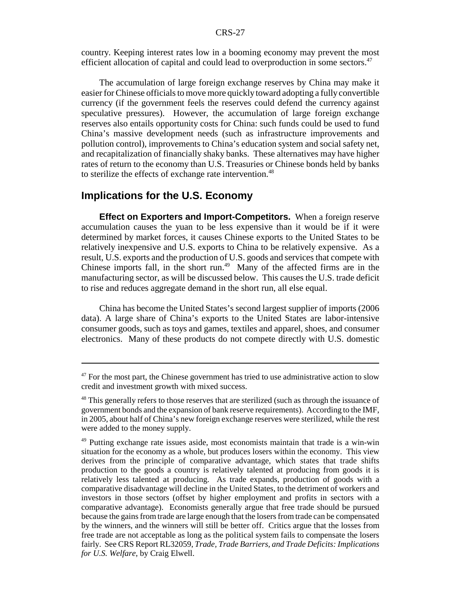country. Keeping interest rates low in a booming economy may prevent the most efficient allocation of capital and could lead to overproduction in some sectors.<sup>47</sup>

The accumulation of large foreign exchange reserves by China may make it easier for Chinese officials to move more quickly toward adopting a fully convertible currency (if the government feels the reserves could defend the currency against speculative pressures). However, the accumulation of large foreign exchange reserves also entails opportunity costs for China: such funds could be used to fund China's massive development needs (such as infrastructure improvements and pollution control), improvements to China's education system and social safety net, and recapitalization of financially shaky banks. These alternatives may have higher rates of return to the economy than U.S. Treasuries or Chinese bonds held by banks to sterilize the effects of exchange rate intervention.<sup>48</sup>

### **Implications for the U.S. Economy**

**Effect on Exporters and Import-Competitors.** When a foreign reserve accumulation causes the yuan to be less expensive than it would be if it were determined by market forces, it causes Chinese exports to the United States to be relatively inexpensive and U.S. exports to China to be relatively expensive. As a result, U.S. exports and the production of U.S. goods and services that compete with Chinese imports fall, in the short run.<sup> $49$ </sup> Many of the affected firms are in the manufacturing sector, as will be discussed below. This causes the U.S. trade deficit to rise and reduces aggregate demand in the short run, all else equal.

China has become the United States's second largest supplier of imports (2006 data). A large share of China's exports to the United States are labor-intensive consumer goods, such as toys and games, textiles and apparel, shoes, and consumer electronics. Many of these products do not compete directly with U.S. domestic

 $47$  For the most part, the Chinese government has tried to use administrative action to slow credit and investment growth with mixed success.

<sup>&</sup>lt;sup>48</sup> This generally refers to those reserves that are sterilized (such as through the issuance of government bonds and the expansion of bank reserve requirements). According to the IMF, in 2005, about half of China's new foreign exchange reserves were sterilized, while the rest were added to the money supply.

<sup>&</sup>lt;sup>49</sup> Putting exchange rate issues aside, most economists maintain that trade is a win-win situation for the economy as a whole, but produces losers within the economy. This view derives from the principle of comparative advantage, which states that trade shifts production to the goods a country is relatively talented at producing from goods it is relatively less talented at producing. As trade expands, production of goods with a comparative disadvantage will decline in the United States, to the detriment of workers and investors in those sectors (offset by higher employment and profits in sectors with a comparative advantage). Economists generally argue that free trade should be pursued because the gains from trade are large enough that the losers from trade can be compensated by the winners, and the winners will still be better off. Critics argue that the losses from free trade are not acceptable as long as the political system fails to compensate the losers fairly. See CRS Report RL32059, *Trade, Trade Barriers, and Trade Deficits: Implications for U.S. Welfare*, by Craig Elwell.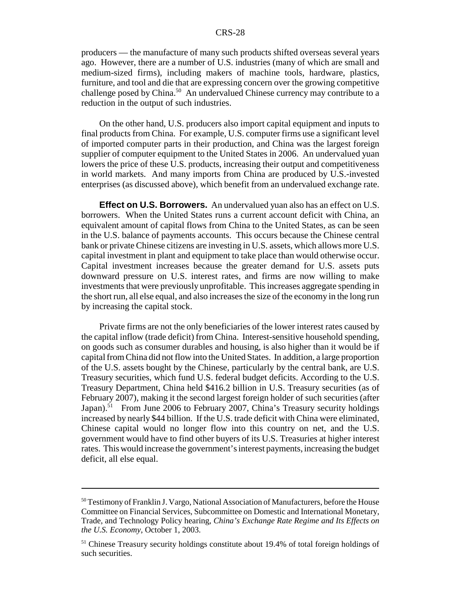producers — the manufacture of many such products shifted overseas several years ago. However, there are a number of U.S. industries (many of which are small and medium-sized firms), including makers of machine tools, hardware, plastics, furniture, and tool and die that are expressing concern over the growing competitive challenge posed by China.<sup>50</sup> An undervalued Chinese currency may contribute to a reduction in the output of such industries.

On the other hand, U.S. producers also import capital equipment and inputs to final products from China. For example, U.S. computer firms use a significant level of imported computer parts in their production, and China was the largest foreign supplier of computer equipment to the United States in 2006. An undervalued yuan lowers the price of these U.S. products, increasing their output and competitiveness in world markets. And many imports from China are produced by U.S.-invested enterprises (as discussed above), which benefit from an undervalued exchange rate.

**Effect on U.S. Borrowers.** An undervalued yuan also has an effect on U.S. borrowers. When the United States runs a current account deficit with China, an equivalent amount of capital flows from China to the United States, as can be seen in the U.S. balance of payments accounts. This occurs because the Chinese central bank or private Chinese citizens are investing in U.S. assets, which allows more U.S. capital investment in plant and equipment to take place than would otherwise occur. Capital investment increases because the greater demand for U.S. assets puts downward pressure on U.S. interest rates, and firms are now willing to make investments that were previously unprofitable. This increases aggregate spending in the short run, all else equal, and also increases the size of the economy in the long run by increasing the capital stock.

Private firms are not the only beneficiaries of the lower interest rates caused by the capital inflow (trade deficit) from China. Interest-sensitive household spending, on goods such as consumer durables and housing, is also higher than it would be if capital from China did not flow into the United States. In addition, a large proportion of the U.S. assets bought by the Chinese, particularly by the central bank, are U.S. Treasury securities, which fund U.S. federal budget deficits. According to the U.S. Treasury Department, China held \$416.2 billion in U.S. Treasury securities (as of February 2007), making it the second largest foreign holder of such securities (after Japan).<sup>51</sup> From June 2006 to February 2007, China's Treasury security holdings increased by nearly \$44 billion. If the U.S. trade deficit with China were eliminated, Chinese capital would no longer flow into this country on net, and the U.S. government would have to find other buyers of its U.S. Treasuries at higher interest rates. This would increase the government's interest payments, increasing the budget deficit, all else equal.

<sup>&</sup>lt;sup>50</sup> Testimony of Franklin J. Vargo, National Association of Manufacturers, before the House Committee on Financial Services, Subcommittee on Domestic and International Monetary, Trade, and Technology Policy hearing, *China's Exchange Rate Regime and Its Effects on the U.S. Economy*, October 1, 2003.

<sup>51</sup> Chinese Treasury security holdings constitute about 19.4% of total foreign holdings of such securities.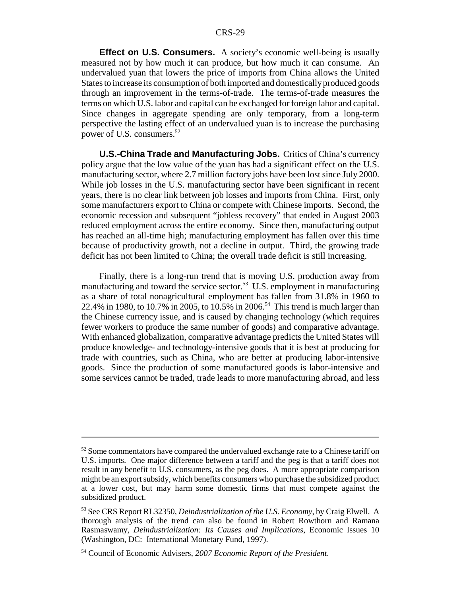**Effect on U.S. Consumers.** A society's economic well-being is usually measured not by how much it can produce, but how much it can consume. An undervalued yuan that lowers the price of imports from China allows the United States to increase its consumption of both imported and domestically produced goods through an improvement in the terms-of-trade. The terms-of-trade measures the terms on which U.S. labor and capital can be exchanged for foreign labor and capital. Since changes in aggregate spending are only temporary, from a long-term perspective the lasting effect of an undervalued yuan is to increase the purchasing power of U.S. consumers.<sup>52</sup>

**U.S.-China Trade and Manufacturing Jobs.** Critics of China's currency policy argue that the low value of the yuan has had a significant effect on the U.S. manufacturing sector, where 2.7 million factory jobs have been lost since July 2000. While job losses in the U.S. manufacturing sector have been significant in recent years, there is no clear link between job losses and imports from China. First, only some manufacturers export to China or compete with Chinese imports. Second, the economic recession and subsequent "jobless recovery" that ended in August 2003 reduced employment across the entire economy. Since then, manufacturing output has reached an all-time high; manufacturing employment has fallen over this time because of productivity growth, not a decline in output. Third, the growing trade deficit has not been limited to China; the overall trade deficit is still increasing.

Finally, there is a long-run trend that is moving U.S. production away from manufacturing and toward the service sector.<sup>53</sup> U.S. employment in manufacturing as a share of total nonagricultural employment has fallen from 31.8% in 1960 to 22.4% in 1980, to 10.7% in 2005, to 10.5% in 2006.54 This trend is much larger than the Chinese currency issue, and is caused by changing technology (which requires fewer workers to produce the same number of goods) and comparative advantage. With enhanced globalization, comparative advantage predicts the United States will produce knowledge- and technology-intensive goods that it is best at producing for trade with countries, such as China, who are better at producing labor-intensive goods. Since the production of some manufactured goods is labor-intensive and some services cannot be traded, trade leads to more manufacturing abroad, and less

<sup>&</sup>lt;sup>52</sup> Some commentators have compared the undervalued exchange rate to a Chinese tariff on U.S. imports. One major difference between a tariff and the peg is that a tariff does not result in any benefit to U.S. consumers, as the peg does. A more appropriate comparison might be an export subsidy, which benefits consumers who purchase the subsidized product at a lower cost, but may harm some domestic firms that must compete against the subsidized product.

<sup>53</sup> See CRS Report RL32350, *Deindustrialization of the U.S. Economy*, by Craig Elwell. A thorough analysis of the trend can also be found in Robert Rowthorn and Ramana Rasmaswamy, *Deindustrialization: Its Causes and Implications*, Economic Issues 10 (Washington, DC: International Monetary Fund, 1997).

<sup>54</sup> Council of Economic Advisers, *2007 Economic Report of the President*.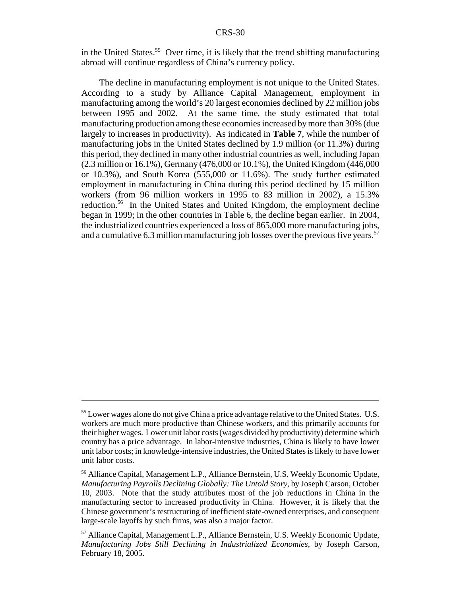in the United States.<sup>55</sup> Over time, it is likely that the trend shifting manufacturing abroad will continue regardless of China's currency policy.

The decline in manufacturing employment is not unique to the United States. According to a study by Alliance Capital Management, employment in manufacturing among the world's 20 largest economies declined by 22 million jobs between 1995 and 2002. At the same time, the study estimated that total manufacturing production among these economies increased by more than 30% (due largely to increases in productivity). As indicated in **Table 7**, while the number of manufacturing jobs in the United States declined by 1.9 million (or 11.3%) during this period, they declined in many other industrial countries as well, including Japan (2.3 million or 16.1%), Germany (476,000 or 10.1%), the United Kingdom (446,000 or 10.3%), and South Korea (555,000 or 11.6%). The study further estimated employment in manufacturing in China during this period declined by 15 million workers (from 96 million workers in 1995 to 83 million in 2002), a 15.3% reduction.56 In the United States and United Kingdom, the employment decline began in 1999; in the other countries in Table 6, the decline began earlier. In 2004, the industrialized countries experienced a loss of 865,000 more manufacturing jobs, and a cumulative 6.3 million manufacturing job losses over the previous five years.<sup>57</sup>

<sup>&</sup>lt;sup>55</sup> Lower wages alone do not give China a price advantage relative to the United States. U.S. workers are much more productive than Chinese workers, and this primarily accounts for their higher wages. Lower unit labor costs (wages divided by productivity) determine which country has a price advantage. In labor-intensive industries, China is likely to have lower unit labor costs; in knowledge-intensive industries, the United States is likely to have lower unit labor costs.

<sup>56</sup> Alliance Capital, Management L.P., Alliance Bernstein, U.S. Weekly Economic Update, *Manufacturing Payrolls Declining Globally: The Untold Story*, by Joseph Carson, October 10, 2003. Note that the study attributes most of the job reductions in China in the manufacturing sector to increased productivity in China. However, it is likely that the Chinese government's restructuring of inefficient state-owned enterprises, and consequent large-scale layoffs by such firms, was also a major factor.

<sup>57</sup> Alliance Capital, Management L.P., Alliance Bernstein, U.S. Weekly Economic Update, *Manufacturing Jobs Still Declining in Industrialized Economies*, by Joseph Carson, February 18, 2005.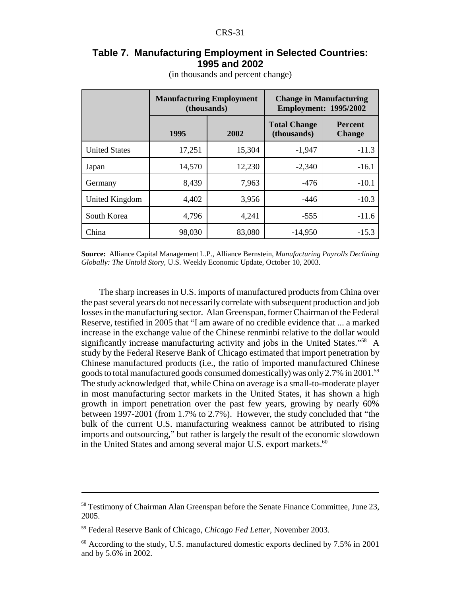#### **Table 7. Manufacturing Employment in Selected Countries: 1995 and 2002**

|                      | <b>Manufacturing Employment</b><br>(thousands) |        | <b>Change in Manufacturing</b><br><b>Employment: 1995/2002</b> |                                 |  |
|----------------------|------------------------------------------------|--------|----------------------------------------------------------------|---------------------------------|--|
|                      | 1995                                           | 2002   | <b>Total Change</b><br>(thousands)                             | <b>Percent</b><br><b>Change</b> |  |
| <b>United States</b> | 17,251                                         | 15,304 | $-1,947$                                                       | $-11.3$                         |  |
| Japan                | 14,570                                         | 12,230 | $-2,340$                                                       | $-16.1$                         |  |
| Germany              | 8,439                                          | 7,963  | $-476$                                                         | $-10.1$                         |  |
| United Kingdom       | 4,402                                          | 3,956  | $-446$                                                         | $-10.3$                         |  |
| South Korea          | 4,796                                          | 4,241  | $-555$                                                         | $-11.6$                         |  |
| China                | 98,030                                         | 83,080 | $-14,950$                                                      | $-15.3$                         |  |

(in thousands and percent change)

**Source:** Alliance Capital Management L.P., Alliance Bernstein, *Manufacturing Payrolls Declining Globally: The Untold Story*, U.S. Weekly Economic Update, October 10, 2003.

The sharp increases in U.S. imports of manufactured products from China over the past several years do not necessarily correlate with subsequent production and job losses in the manufacturing sector. Alan Greenspan, former Chairman of the Federal Reserve, testified in 2005 that "I am aware of no credible evidence that ... a marked increase in the exchange value of the Chinese renminbi relative to the dollar would significantly increase manufacturing activity and jobs in the United States."<sup>58</sup> A study by the Federal Reserve Bank of Chicago estimated that import penetration by Chinese manufactured products (i.e., the ratio of imported manufactured Chinese goods to total manufactured goods consumed domestically) was only 2.7% in 2001.<sup>59</sup> The study acknowledged that, while China on average is a small-to-moderate player in most manufacturing sector markets in the United States, it has shown a high growth in import penetration over the past few years, growing by nearly 60% between 1997-2001 (from 1.7% to 2.7%). However, the study concluded that "the bulk of the current U.S. manufacturing weakness cannot be attributed to rising imports and outsourcing," but rather is largely the result of the economic slowdown in the United States and among several major U.S. export markets.<sup>60</sup>

<sup>58</sup> Testimony of Chairman Alan Greenspan before the Senate Finance Committee, June 23, 2005.

<sup>59</sup> Federal Reserve Bank of Chicago, *Chicago Fed Letter*, November 2003.

 $60$  According to the study, U.S. manufactured domestic exports declined by 7.5% in 2001 and by 5.6% in 2002.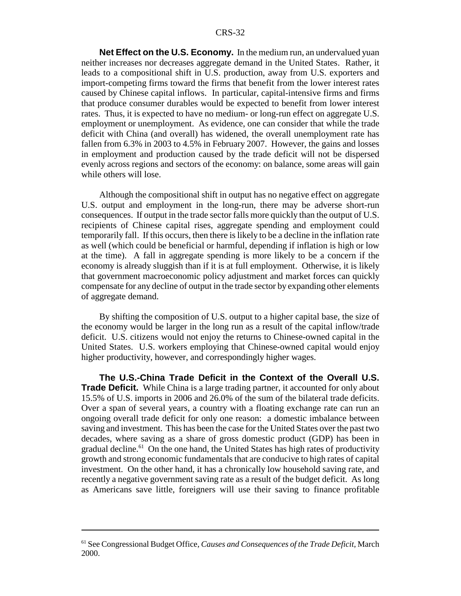**Net Effect on the U.S. Economy.** In the medium run, an undervalued yuan neither increases nor decreases aggregate demand in the United States. Rather, it leads to a compositional shift in U.S. production, away from U.S. exporters and import-competing firms toward the firms that benefit from the lower interest rates caused by Chinese capital inflows. In particular, capital-intensive firms and firms that produce consumer durables would be expected to benefit from lower interest rates. Thus, it is expected to have no medium- or long-run effect on aggregate U.S. employment or unemployment. As evidence, one can consider that while the trade deficit with China (and overall) has widened, the overall unemployment rate has fallen from 6.3% in 2003 to 4.5% in February 2007. However, the gains and losses in employment and production caused by the trade deficit will not be dispersed evenly across regions and sectors of the economy: on balance, some areas will gain while others will lose.

Although the compositional shift in output has no negative effect on aggregate U.S. output and employment in the long-run, there may be adverse short-run consequences. If output in the trade sector falls more quickly than the output of U.S. recipients of Chinese capital rises, aggregate spending and employment could temporarily fall. If this occurs, then there is likely to be a decline in the inflation rate as well (which could be beneficial or harmful, depending if inflation is high or low at the time). A fall in aggregate spending is more likely to be a concern if the economy is already sluggish than if it is at full employment. Otherwise, it is likely that government macroeconomic policy adjustment and market forces can quickly compensate for any decline of output in the trade sector by expanding other elements of aggregate demand.

By shifting the composition of U.S. output to a higher capital base, the size of the economy would be larger in the long run as a result of the capital inflow/trade deficit. U.S. citizens would not enjoy the returns to Chinese-owned capital in the United States. U.S. workers employing that Chinese-owned capital would enjoy higher productivity, however, and correspondingly higher wages.

**The U.S.-China Trade Deficit in the Context of the Overall U.S. Trade Deficit.** While China is a large trading partner, it accounted for only about 15.5% of U.S. imports in 2006 and 26.0% of the sum of the bilateral trade deficits. Over a span of several years, a country with a floating exchange rate can run an ongoing overall trade deficit for only one reason: a domestic imbalance between saving and investment. This has been the case for the United States over the past two decades, where saving as a share of gross domestic product (GDP) has been in gradual decline.<sup>61</sup> On the one hand, the United States has high rates of productivity growth and strong economic fundamentals that are conducive to high rates of capital investment. On the other hand, it has a chronically low household saving rate, and recently a negative government saving rate as a result of the budget deficit. As long as Americans save little, foreigners will use their saving to finance profitable

<sup>61</sup> See Congressional Budget Office, *Causes and Consequences of the Trade Deficit*, March 2000.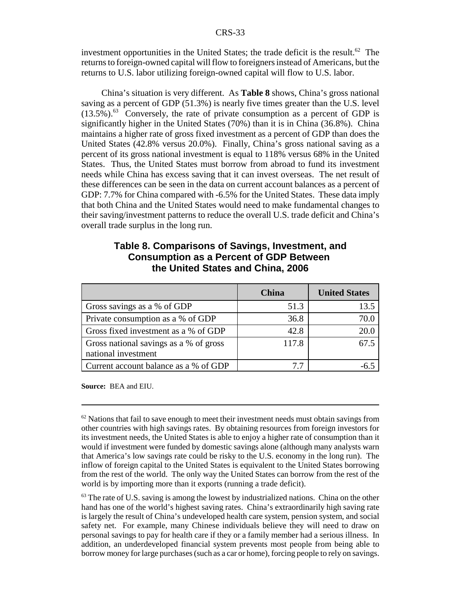investment opportunities in the United States; the trade deficit is the result.<sup>62</sup> The returns to foreign-owned capital will flow to foreigners instead of Americans, but the returns to U.S. labor utilizing foreign-owned capital will flow to U.S. labor.

 China's situation is very different. As **Table 8** shows, China's gross national saving as a percent of GDP (51.3%) is nearly five times greater than the U.S. level  $(13.5\%)$ <sup>63</sup> Conversely, the rate of private consumption as a percent of GDP is significantly higher in the United States (70%) than it is in China (36.8%). China maintains a higher rate of gross fixed investment as a percent of GDP than does the United States (42.8% versus 20.0%). Finally, China's gross national saving as a percent of its gross national investment is equal to 118% versus 68% in the United States. Thus, the United States must borrow from abroad to fund its investment needs while China has excess saving that it can invest overseas. The net result of these differences can be seen in the data on current account balances as a percent of GDP: 7.7% for China compared with -6.5% for the United States. These data imply that both China and the United States would need to make fundamental changes to their saving/investment patterns to reduce the overall U.S. trade deficit and China's overall trade surplus in the long run.

#### **Table 8. Comparisons of Savings, Investment, and Consumption as a Percent of GDP Between the United States and China, 2006**

|                                                               | China | <b>United States</b> |
|---------------------------------------------------------------|-------|----------------------|
| Gross savings as a % of GDP                                   | 51.3  |                      |
| Private consumption as a % of GDP                             | 36.8  | 70.0                 |
| Gross fixed investment as a % of GDP                          | 42.8  | 20.C                 |
| Gross national savings as a % of gross<br>national investment | 117.8 | 67.5                 |
| Current account balance as a % of GDP                         | 7.7   |                      |

**Source:** BEA and EIU.

 $63$  The rate of U.S. saving is among the lowest by industrialized nations. China on the other hand has one of the world's highest saving rates. China's extraordinarily high saving rate is largely the result of China's undeveloped health care system, pension system, and social safety net. For example, many Chinese individuals believe they will need to draw on personal savings to pay for health care if they or a family member had a serious illness. In addition, an underdeveloped financial system prevents most people from being able to borrow money for large purchases (such as a car or home), forcing people to rely on savings.

 $62$  Nations that fail to save enough to meet their investment needs must obtain savings from other countries with high savings rates. By obtaining resources from foreign investors for its investment needs, the United States is able to enjoy a higher rate of consumption than it would if investment were funded by domestic savings alone (although many analysts warn that America's low savings rate could be risky to the U.S. economy in the long run). The inflow of foreign capital to the United States is equivalent to the United States borrowing from the rest of the world. The only way the United States can borrow from the rest of the world is by importing more than it exports (running a trade deficit).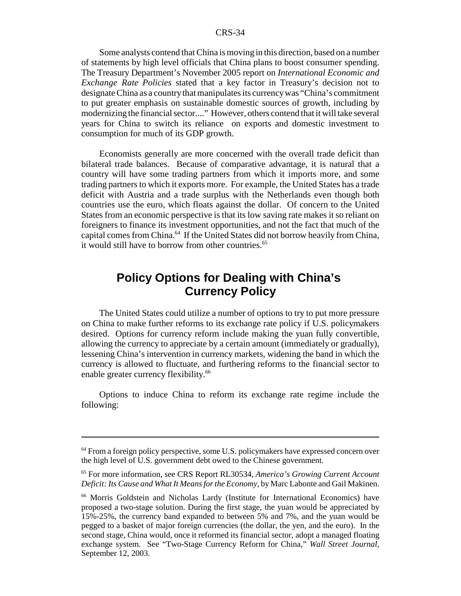Some analysts contend that China is moving in this direction, based on a number of statements by high level officials that China plans to boost consumer spending. The Treasury Department's November 2005 report on *International Economic and Exchange Rate Policies* stated that a key factor in Treasury's decision not to designate China as a country that manipulates its currency was "China's commitment to put greater emphasis on sustainable domestic sources of growth, including by modernizing the financial sector...." However, others contend that it will take several years for China to switch its reliance on exports and domestic investment to consumption for much of its GDP growth.

Economists generally are more concerned with the overall trade deficit than bilateral trade balances. Because of comparative advantage, it is natural that a country will have some trading partners from which it imports more, and some trading partners to which it exports more. For example, the United States has a trade deficit with Austria and a trade surplus with the Netherlands even though both countries use the euro, which floats against the dollar. Of concern to the United States from an economic perspective is that its low saving rate makes it so reliant on foreigners to finance its investment opportunities, and not the fact that much of the capital comes from China.<sup>64</sup> If the United States did not borrow heavily from China, it would still have to borrow from other countries.<sup>65</sup>

### **Policy Options for Dealing with China's Currency Policy**

The United States could utilize a number of options to try to put more pressure on China to make further reforms to its exchange rate policy if U.S. policymakers desired. Options for currency reform include making the yuan fully convertible, allowing the currency to appreciate by a certain amount (immediately or gradually), lessening China's intervention in currency markets, widening the band in which the currency is allowed to fluctuate, and furthering reforms to the financial sector to enable greater currency flexibility.<sup>66</sup>

Options to induce China to reform its exchange rate regime include the following:

<sup>&</sup>lt;sup>64</sup> From a foreign policy perspective, some U.S. policymakers have expressed concern over the high level of U.S. government debt owed to the Chinese government.

<sup>65</sup> For more information, see CRS Report RL30534, *America's Growing Current Account Deficit: Its Cause and What It Means for the Economy*, by Marc Labonte and Gail Makinen.

<sup>66</sup> Morris Goldstein and Nicholas Lardy (Institute for International Economics) have proposed a two-stage solution. During the first stage, the yuan would be appreciated by 15%-25%, the currency band expanded to between 5% and 7%, and the yuan would be pegged to a basket of major foreign currencies (the dollar, the yen, and the euro). In the second stage, China would, once it reformed its financial sector, adopt a managed floating exchange system. See "Two-Stage Currency Reform for China," *Wall Street Journal*, September 12, 2003.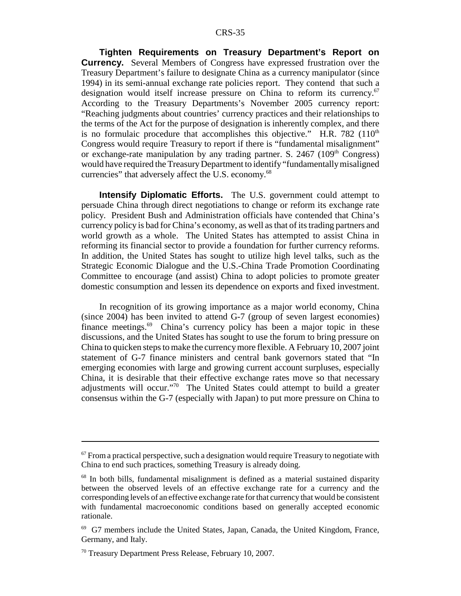**Tighten Requirements on Treasury Department's Report on Currency.** Several Members of Congress have expressed frustration over the Treasury Department's failure to designate China as a currency manipulator (since 1994) in its semi-annual exchange rate policies report. They contend that such a designation would itself increase pressure on China to reform its currency.<sup>67</sup> According to the Treasury Departments's November 2005 currency report: "Reaching judgments about countries' currency practices and their relationships to the terms of the Act for the purpose of designation is inherently complex, and there is no formulaic procedure that accomplishes this objective." H.R. 782  $(110<sup>th</sup>$ Congress would require Treasury to report if there is "fundamental misalignment" or exchange-rate manipulation by any trading partner. S. 2467 (109<sup>th</sup> Congress) would have required the Treasury Department to identify "fundamentally misaligned currencies" that adversely affect the U.S. economy.<sup>68</sup>

**Intensify Diplomatic Efforts.** The U.S. government could attempt to persuade China through direct negotiations to change or reform its exchange rate policy. President Bush and Administration officials have contended that China's currency policy is bad for China's economy, as well as that of its trading partners and world growth as a whole. The United States has attempted to assist China in reforming its financial sector to provide a foundation for further currency reforms. In addition, the United States has sought to utilize high level talks, such as the Strategic Economic Dialogue and the U.S.-China Trade Promotion Coordinating Committee to encourage (and assist) China to adopt policies to promote greater domestic consumption and lessen its dependence on exports and fixed investment.

In recognition of its growing importance as a major world economy, China (since 2004) has been invited to attend G-7 (group of seven largest economies) finance meetings.<sup>69</sup> China's currency policy has been a major topic in these discussions, and the United States has sought to use the forum to bring pressure on China to quicken steps to make the currency more flexible. A February 10, 2007 joint statement of G-7 finance ministers and central bank governors stated that "In emerging economies with large and growing current account surpluses, especially China, it is desirable that their effective exchange rates move so that necessary adjustments will occur."70 The United States could attempt to build a greater consensus within the G-7 (especially with Japan) to put more pressure on China to

 $67$  From a practical perspective, such a designation would require Treasury to negotiate with China to end such practices, something Treasury is already doing.

<sup>&</sup>lt;sup>68</sup> In both bills, fundamental misalignment is defined as a material sustained disparity between the observed levels of an effective exchange rate for a currency and the corresponding levels of an effective exchange rate for that currency that would be consistent with fundamental macroeconomic conditions based on generally accepted economic rationale.

<sup>69</sup> G7 members include the United States, Japan, Canada, the United Kingdom, France, Germany, and Italy.

<sup>70</sup> Treasury Department Press Release, February 10, 2007.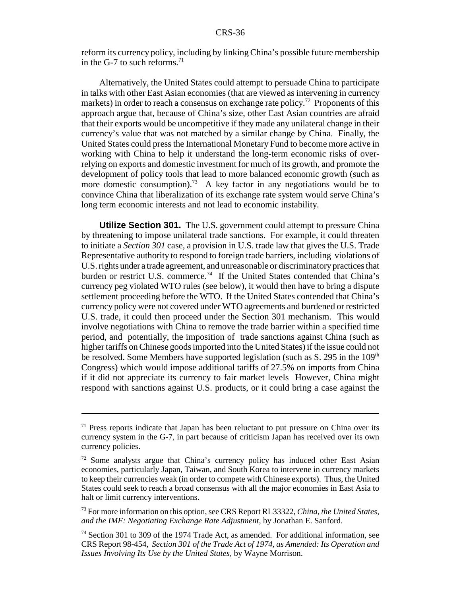reform its currency policy, including by linking China's possible future membership in the G-7 to such reforms. $71$ 

Alternatively, the United States could attempt to persuade China to participate in talks with other East Asian economies (that are viewed as intervening in currency markets) in order to reach a consensus on exchange rate policy.<sup>72</sup> Proponents of this approach argue that, because of China's size, other East Asian countries are afraid that their exports would be uncompetitive if they made any unilateral change in their currency's value that was not matched by a similar change by China. Finally, the United States could press the International Monetary Fund to become more active in working with China to help it understand the long-term economic risks of overrelying on exports and domestic investment for much of its growth, and promote the development of policy tools that lead to more balanced economic growth (such as more domestic consumption).<sup>73</sup> A key factor in any negotiations would be to convince China that liberalization of its exchange rate system would serve China's long term economic interests and not lead to economic instability.

**Utilize Section 301.** The U.S. government could attempt to pressure China by threatening to impose unilateral trade sanctions. For example, it could threaten to initiate a *Section 301* case, a provision in U.S. trade law that gives the U.S. Trade Representative authority to respond to foreign trade barriers, including violations of U.S. rights under a trade agreement, and unreasonable or discriminatory practices that burden or restrict U.S. commerce.<sup>74</sup> If the United States contended that China's currency peg violated WTO rules (see below), it would then have to bring a dispute settlement proceeding before the WTO. If the United States contended that China's currency policy were not covered under WTO agreements and burdened or restricted U.S. trade, it could then proceed under the Section 301 mechanism. This would involve negotiations with China to remove the trade barrier within a specified time period, and potentially, the imposition of trade sanctions against China (such as higher tariffs on Chinese goods imported into the United States) if the issue could not be resolved. Some Members have supported legislation (such as S, 295 in the  $109<sup>th</sup>$ Congress) which would impose additional tariffs of 27.5% on imports from China if it did not appreciate its currency to fair market levels However, China might respond with sanctions against U.S. products, or it could bring a case against the

 $71$  Press reports indicate that Japan has been reluctant to put pressure on China over its currency system in the G-7, in part because of criticism Japan has received over its own currency policies.

<sup>&</sup>lt;sup>72</sup> Some analysts argue that China's currency policy has induced other East Asian economies, particularly Japan, Taiwan, and South Korea to intervene in currency markets to keep their currencies weak (in order to compete with Chinese exports). Thus, the United States could seek to reach a broad consensus with all the major economies in East Asia to halt or limit currency interventions.

<sup>73</sup> For more information on this option, see CRS Report RL33322, *China, the United States, and the IMF: Negotiating Exchange Rate Adjustment*, by Jonathan E. Sanford.

<sup>74</sup> Section 301 to 309 of the 1974 Trade Act, as amended. For additional information, see CRS Report 98-454, *Section 301 of the Trade Act of 1974, as Amended: Its Operation and Issues Involving Its Use by the United States,* by Wayne Morrison.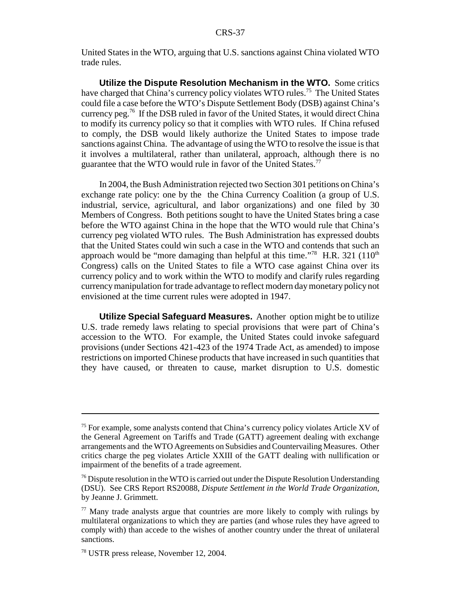United States in the WTO, arguing that U.S. sanctions against China violated WTO trade rules.

**Utilize the Dispute Resolution Mechanism in the WTO.** Some critics have charged that China's currency policy violates WTO rules.<sup>75</sup> The United States could file a case before the WTO's Dispute Settlement Body (DSB) against China's currency peg.76 If the DSB ruled in favor of the United States, it would direct China to modify its currency policy so that it complies with WTO rules. If China refused to comply, the DSB would likely authorize the United States to impose trade sanctions against China. The advantage of using the WTO to resolve the issue is that it involves a multilateral, rather than unilateral, approach, although there is no guarantee that the WTO would rule in favor of the United States.<sup>77</sup>

In 2004, the Bush Administration rejected two Section 301 petitions on China's exchange rate policy: one by the the China Currency Coalition (a group of U.S. industrial, service, agricultural, and labor organizations) and one filed by 30 Members of Congress. Both petitions sought to have the United States bring a case before the WTO against China in the hope that the WTO would rule that China's currency peg violated WTO rules. The Bush Administration has expressed doubts that the United States could win such a case in the WTO and contends that such an approach would be "more damaging than helpful at this time."<sup>78</sup> H.R. 321 (110<sup>th</sup>) Congress) calls on the United States to file a WTO case against China over its currency policy and to work within the WTO to modify and clarify rules regarding currency manipulation for trade advantage to reflect modern day monetary policy not envisioned at the time current rules were adopted in 1947.

**Utilize Special Safeguard Measures.** Another option might be to utilize U.S. trade remedy laws relating to special provisions that were part of China's accession to the WTO. For example, the United States could invoke safeguard provisions (under Sections 421-423 of the 1974 Trade Act, as amended) to impose restrictions on imported Chinese products that have increased in such quantities that they have caused, or threaten to cause, market disruption to U.S. domestic

 $75$  For example, some analysts contend that China's currency policy violates Article XV of the General Agreement on Tariffs and Trade (GATT) agreement dealing with exchange arrangements and the WTO Agreements on Subsidies and Countervailing Measures. Other critics charge the peg violates Article XXIII of the GATT dealing with nullification or impairment of the benefits of a trade agreement.

 $^{76}$  Dispute resolution in the WTO is carried out under the Dispute Resolution Understanding (DSU). See CRS Report RS20088, *Dispute Settlement in the World Trade Organization*, by Jeanne J. Grimmett.

 $77$  Many trade analysts argue that countries are more likely to comply with rulings by multilateral organizations to which they are parties (and whose rules they have agreed to comply with) than accede to the wishes of another country under the threat of unilateral sanctions.

<sup>78</sup> USTR press release, November 12, 2004.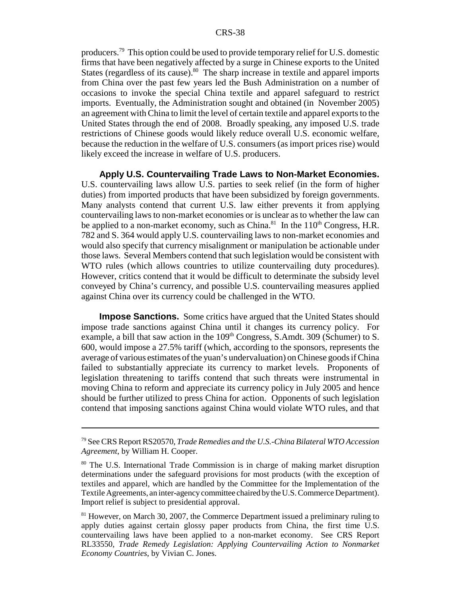producers.<sup>79</sup> This option could be used to provide temporary relief for U.S. domestic firms that have been negatively affected by a surge in Chinese exports to the United States (regardless of its cause).<sup>80</sup> The sharp increase in textile and apparel imports from China over the past few years led the Bush Administration on a number of occasions to invoke the special China textile and apparel safeguard to restrict imports. Eventually, the Administration sought and obtained (in November 2005) an agreement with China to limit the level of certain textile and apparel exports to the United States through the end of 2008. Broadly speaking, any imposed U.S. trade restrictions of Chinese goods would likely reduce overall U.S. economic welfare, because the reduction in the welfare of U.S. consumers (as import prices rise) would likely exceed the increase in welfare of U.S. producers.

**Apply U.S. Countervailing Trade Laws to Non-Market Economies.** U.S. countervailing laws allow U.S. parties to seek relief (in the form of higher duties) from imported products that have been subsidized by foreign governments. Many analysts contend that current U.S. law either prevents it from applying countervailing laws to non-market economies or is unclear as to whether the law can be applied to a non-market economy, such as China.<sup>81</sup> In the  $110<sup>th</sup>$  Congress, H.R. 782 and S. 364 would apply U.S. countervailing laws to non-market economies and would also specify that currency misalignment or manipulation be actionable under those laws. Several Members contend that such legislation would be consistent with WTO rules (which allows countries to utilize countervailing duty procedures). However, critics contend that it would be difficult to determinate the subsidy level conveyed by China's currency, and possible U.S. countervailing measures applied against China over its currency could be challenged in the WTO.

**Impose Sanctions.** Some critics have argued that the United States should impose trade sanctions against China until it changes its currency policy. For example, a bill that saw action in the  $109<sup>th</sup>$  Congress, S.Amdt. 309 (Schumer) to S. 600, would impose a 27.5% tariff (which, according to the sponsors, represents the average of various estimates of the yuan's undervaluation) on Chinese goods if China failed to substantially appreciate its currency to market levels. Proponents of legislation threatening to tariffs contend that such threats were instrumental in moving China to reform and appreciate its currency policy in July 2005 and hence should be further utilized to press China for action. Opponents of such legislation contend that imposing sanctions against China would violate WTO rules, and that

<sup>79</sup> See CRS Report RS20570, *Trade Remedies and the U.S.-China Bilateral WTO Accession Agreement*, by William H. Cooper.

<sup>80</sup> The U.S. International Trade Commission is in charge of making market disruption determinations under the safeguard provisions for most products (with the exception of textiles and apparel, which are handled by the Committee for the Implementation of the Textile Agreements, an inter-agency committee chaired by the U.S. Commerce Department). Import relief is subject to presidential approval.

 $81$  However, on March 30, 2007, the Commerce Department issued a preliminary ruling to apply duties against certain glossy paper products from China, the first time U.S. countervailing laws have been applied to a non-market economy. See CRS Report RL33550, *Trade Remedy Legislation: Applying Countervailing Action to Nonmarket Economy Countries*, by Vivian C. Jones.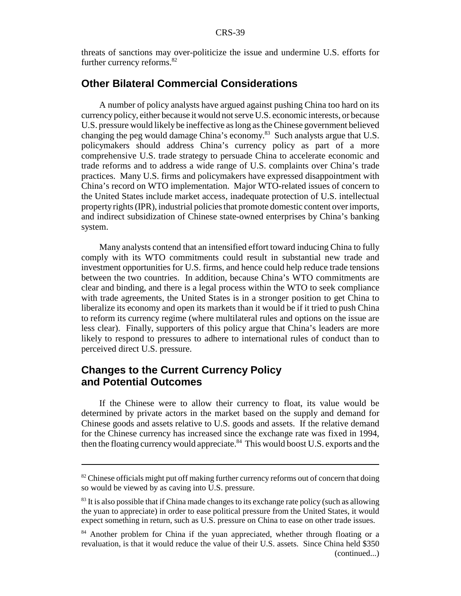threats of sanctions may over-politicize the issue and undermine U.S. efforts for further currency reforms. $82$ 

### **Other Bilateral Commercial Considerations**

A number of policy analysts have argued against pushing China too hard on its currency policy, either because it would not serve U.S. economic interests, or because U.S. pressure would likely be ineffective as long as the Chinese government believed changing the peg would damage China's economy.83 Such analysts argue that U.S. policymakers should address China's currency policy as part of a more comprehensive U.S. trade strategy to persuade China to accelerate economic and trade reforms and to address a wide range of U.S. complaints over China's trade practices. Many U.S. firms and policymakers have expressed disappointment with China's record on WTO implementation. Major WTO-related issues of concern to the United States include market access, inadequate protection of U.S. intellectual property rights (IPR), industrial policies that promote domestic content over imports, and indirect subsidization of Chinese state-owned enterprises by China's banking system.

Many analysts contend that an intensified effort toward inducing China to fully comply with its WTO commitments could result in substantial new trade and investment opportunities for U.S. firms, and hence could help reduce trade tensions between the two countries. In addition, because China's WTO commitments are clear and binding, and there is a legal process within the WTO to seek compliance with trade agreements, the United States is in a stronger position to get China to liberalize its economy and open its markets than it would be if it tried to push China to reform its currency regime (where multilateral rules and options on the issue are less clear). Finally, supporters of this policy argue that China's leaders are more likely to respond to pressures to adhere to international rules of conduct than to perceived direct U.S. pressure.

### **Changes to the Current Currency Policy and Potential Outcomes**

If the Chinese were to allow their currency to float, its value would be determined by private actors in the market based on the supply and demand for Chinese goods and assets relative to U.S. goods and assets. If the relative demand for the Chinese currency has increased since the exchange rate was fixed in 1994, then the floating currency would appreciate.<sup>84</sup> This would boost U.S. exports and the

<sup>&</sup>lt;sup>82</sup> Chinese officials might put off making further currency reforms out of concern that doing so would be viewed by as caving into U.S. pressure.

 $83$  It is also possible that if China made changes to its exchange rate policy (such as allowing the yuan to appreciate) in order to ease political pressure from the United States, it would expect something in return, such as U.S. pressure on China to ease on other trade issues.

<sup>&</sup>lt;sup>84</sup> Another problem for China if the yuan appreciated, whether through floating or a revaluation, is that it would reduce the value of their U.S. assets. Since China held \$350 (continued...)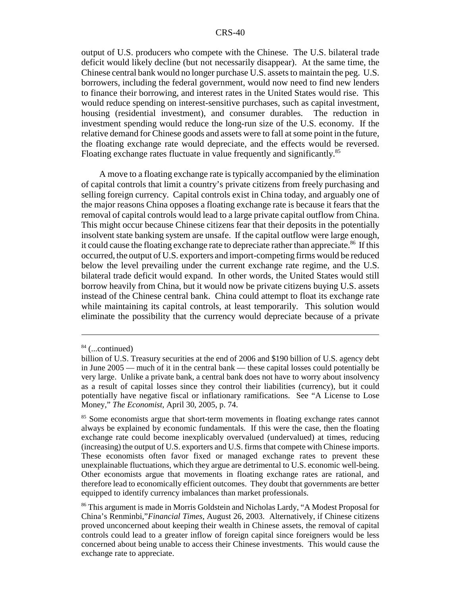output of U.S. producers who compete with the Chinese. The U.S. bilateral trade deficit would likely decline (but not necessarily disappear). At the same time, the Chinese central bank would no longer purchase U.S. assets to maintain the peg. U.S. borrowers, including the federal government, would now need to find new lenders to finance their borrowing, and interest rates in the United States would rise. This would reduce spending on interest-sensitive purchases, such as capital investment, housing (residential investment), and consumer durables. The reduction in investment spending would reduce the long-run size of the U.S. economy. If the relative demand for Chinese goods and assets were to fall at some point in the future, the floating exchange rate would depreciate, and the effects would be reversed. Floating exchange rates fluctuate in value frequently and significantly.<sup>85</sup>

A move to a floating exchange rate is typically accompanied by the elimination of capital controls that limit a country's private citizens from freely purchasing and selling foreign currency. Capital controls exist in China today, and arguably one of the major reasons China opposes a floating exchange rate is because it fears that the removal of capital controls would lead to a large private capital outflow from China. This might occur because Chinese citizens fear that their deposits in the potentially insolvent state banking system are unsafe. If the capital outflow were large enough, it could cause the floating exchange rate to depreciate rather than appreciate.<sup>86</sup> If this occurred, the output of U.S. exporters and import-competing firms would be reduced below the level prevailing under the current exchange rate regime, and the U.S. bilateral trade deficit would expand. In other words, the United States would still borrow heavily from China, but it would now be private citizens buying U.S. assets instead of the Chinese central bank. China could attempt to float its exchange rate while maintaining its capital controls, at least temporarily. This solution would eliminate the possibility that the currency would depreciate because of a private

 $84$  (...continued)

billion of U.S. Treasury securities at the end of 2006 and \$190 billion of U.S. agency debt in June 2005 — much of it in the central bank — these capital losses could potentially be very large. Unlike a private bank, a central bank does not have to worry about insolvency as a result of capital losses since they control their liabilities (currency), but it could potentially have negative fiscal or inflationary ramifications. See "A License to Lose Money," *The Economist*, April 30, 2005, p. 74.

<sup>&</sup>lt;sup>85</sup> Some economists argue that short-term movements in floating exchange rates cannot always be explained by economic fundamentals. If this were the case, then the floating exchange rate could become inexplicably overvalued (undervalued) at times, reducing (increasing) the output of U.S. exporters and U.S. firms that compete with Chinese imports. These economists often favor fixed or managed exchange rates to prevent these unexplainable fluctuations, which they argue are detrimental to U.S. economic well-being. Other economists argue that movements in floating exchange rates are rational, and therefore lead to economically efficient outcomes. They doubt that governments are better equipped to identify currency imbalances than market professionals.

<sup>&</sup>lt;sup>86</sup> This argument is made in Morris Goldstein and Nicholas Lardy, "A Modest Proposal for China's Renminbi,"*Financial Times*, August 26, 2003. Alternatively, if Chinese citizens proved unconcerned about keeping their wealth in Chinese assets, the removal of capital controls could lead to a greater inflow of foreign capital since foreigners would be less concerned about being unable to access their Chinese investments. This would cause the exchange rate to appreciate.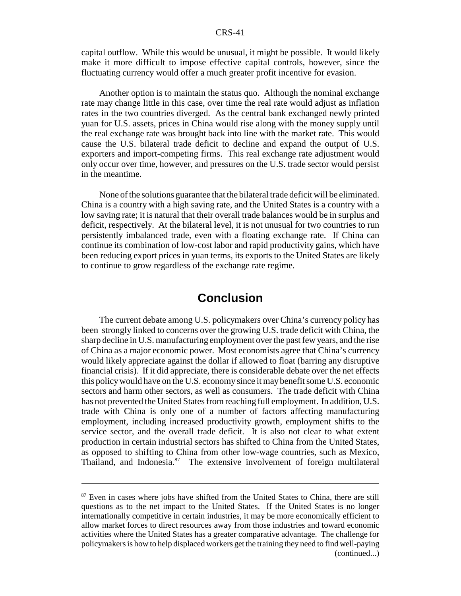capital outflow. While this would be unusual, it might be possible. It would likely make it more difficult to impose effective capital controls, however, since the fluctuating currency would offer a much greater profit incentive for evasion.

Another option is to maintain the status quo. Although the nominal exchange rate may change little in this case, over time the real rate would adjust as inflation rates in the two countries diverged. As the central bank exchanged newly printed yuan for U.S. assets, prices in China would rise along with the money supply until the real exchange rate was brought back into line with the market rate. This would cause the U.S. bilateral trade deficit to decline and expand the output of U.S. exporters and import-competing firms. This real exchange rate adjustment would only occur over time, however, and pressures on the U.S. trade sector would persist in the meantime.

None of the solutions guarantee that the bilateral trade deficit will be eliminated. China is a country with a high saving rate, and the United States is a country with a low saving rate; it is natural that their overall trade balances would be in surplus and deficit, respectively. At the bilateral level, it is not unusual for two countries to run persistently imbalanced trade, even with a floating exchange rate. If China can continue its combination of low-cost labor and rapid productivity gains, which have been reducing export prices in yuan terms, its exports to the United States are likely to continue to grow regardless of the exchange rate regime.

### **Conclusion**

The current debate among U.S. policymakers over China's currency policy has been strongly linked to concerns over the growing U.S. trade deficit with China, the sharp decline in U.S. manufacturing employment over the past few years, and the rise of China as a major economic power. Most economists agree that China's currency would likely appreciate against the dollar if allowed to float (barring any disruptive financial crisis). If it did appreciate, there is considerable debate over the net effects this policy would have on the U.S. economy since it may benefit some U.S. economic sectors and harm other sectors, as well as consumers. The trade deficit with China has not prevented the United States from reaching full employment. In addition, U.S. trade with China is only one of a number of factors affecting manufacturing employment, including increased productivity growth, employment shifts to the service sector, and the overall trade deficit. It is also not clear to what extent production in certain industrial sectors has shifted to China from the United States, as opposed to shifting to China from other low-wage countries, such as Mexico, Thailand, and Indonesia. $87$  The extensive involvement of foreign multilateral

 $87$  Even in cases where jobs have shifted from the United States to China, there are still questions as to the net impact to the United States. If the United States is no longer internationally competitive in certain industries, it may be more economically efficient to allow market forces to direct resources away from those industries and toward economic activities where the United States has a greater comparative advantage. The challenge for policymakers is how to help displaced workers get the training they need to find well-paying (continued...)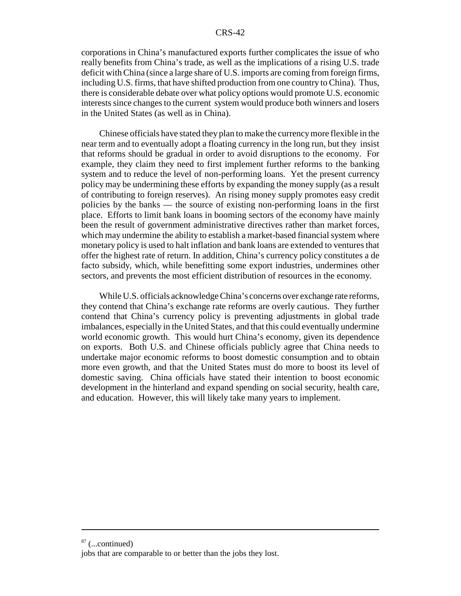corporations in China's manufactured exports further complicates the issue of who really benefits from China's trade, as well as the implications of a rising U.S. trade deficit with China (since a large share of U.S. imports are coming from foreign firms, including U.S. firms, that have shifted production from one country to China). Thus, there is considerable debate over what policy options would promote U.S. economic interests since changes to the current system would produce both winners and losers in the United States (as well as in China).

Chinese officials have stated they plan to make the currency more flexible in the near term and to eventually adopt a floating currency in the long run, but they insist that reforms should be gradual in order to avoid disruptions to the economy. For example, they claim they need to first implement further reforms to the banking system and to reduce the level of non-performing loans. Yet the present currency policy may be undermining these efforts by expanding the money supply (as a result of contributing to foreign reserves). An rising money supply promotes easy credit policies by the banks — the source of existing non-performing loans in the first place. Efforts to limit bank loans in booming sectors of the economy have mainly been the result of government administrative directives rather than market forces, which may undermine the ability to establish a market-based financial system where monetary policy is used to halt inflation and bank loans are extended to ventures that offer the highest rate of return. In addition, China's currency policy constitutes a de facto subsidy, which, while benefitting some export industries, undermines other sectors, and prevents the most efficient distribution of resources in the economy.

While U.S. officials acknowledge China's concerns over exchange rate reforms, they contend that China's exchange rate reforms are overly cautious. They further contend that China's currency policy is preventing adjustments in global trade imbalances, especially in the United States, and that this could eventually undermine world economic growth. This would hurt China's economy, given its dependence on exports. Both U.S. and Chinese officials publicly agree that China needs to undertake major economic reforms to boost domestic consumption and to obtain more even growth, and that the United States must do more to boost its level of domestic saving. China officials have stated their intention to boost economic development in the hinterland and expand spending on social security, health care, and education. However, this will likely take many years to implement.

 $87$  (...continued)

jobs that are comparable to or better than the jobs they lost.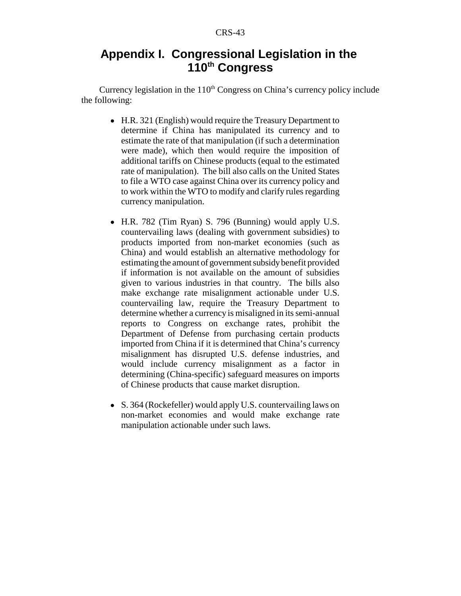### **Appendix I. Congressional Legislation in the 110th Congress**

Currency legislation in the  $110<sup>th</sup>$  Congress on China's currency policy include the following:

- ! H.R. 321 (English) would require the Treasury Department to determine if China has manipulated its currency and to estimate the rate of that manipulation (if such a determination were made), which then would require the imposition of additional tariffs on Chinese products (equal to the estimated rate of manipulation). The bill also calls on the United States to file a WTO case against China over its currency policy and to work within the WTO to modify and clarify rules regarding currency manipulation.
- ! H.R. 782 (Tim Ryan) S. 796 (Bunning) would apply U.S. countervailing laws (dealing with government subsidies) to products imported from non-market economies (such as China) and would establish an alternative methodology for estimating the amount of government subsidy benefit provided if information is not available on the amount of subsidies given to various industries in that country. The bills also make exchange rate misalignment actionable under U.S. countervailing law, require the Treasury Department to determine whether a currency is misaligned in its semi-annual reports to Congress on exchange rates, prohibit the Department of Defense from purchasing certain products imported from China if it is determined that China's currency misalignment has disrupted U.S. defense industries, and would include currency misalignment as a factor in determining (China-specific) safeguard measures on imports of Chinese products that cause market disruption.
- S. 364 (Rockefeller) would apply U.S. countervailing laws on non-market economies and would make exchange rate manipulation actionable under such laws.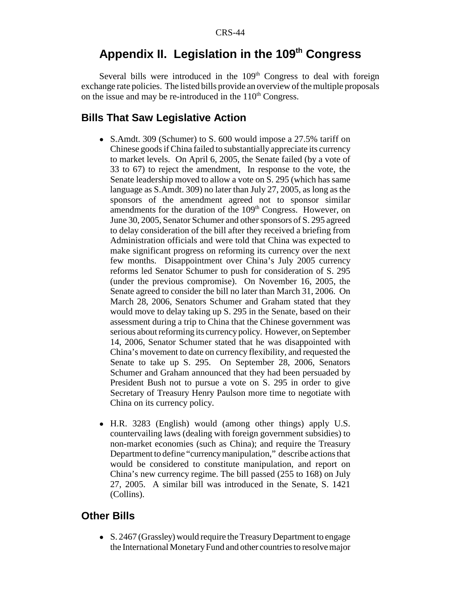### Appendix II. Legislation in the 109<sup>th</sup> Congress

Several bills were introduced in the 109<sup>th</sup> Congress to deal with foreign exchange rate policies. The listed bills provide an overview of the multiple proposals on the issue and may be re-introduced in the  $110<sup>th</sup>$  Congress.

### **Bills That Saw Legislative Action**

- S.Amdt. 309 (Schumer) to S. 600 would impose a 27.5% tariff on Chinese goods if China failed to substantially appreciate its currency to market levels. On April 6, 2005, the Senate failed (by a vote of 33 to 67) to reject the amendment, In response to the vote, the Senate leadership moved to allow a vote on S. 295 (which has same language as S.Amdt. 309) no later than July 27, 2005, as long as the sponsors of the amendment agreed not to sponsor similar amendments for the duration of the 109<sup>th</sup> Congress. However, on June 30, 2005, Senator Schumer and other sponsors of S. 295 agreed to delay consideration of the bill after they received a briefing from Administration officials and were told that China was expected to make significant progress on reforming its currency over the next few months. Disappointment over China's July 2005 currency reforms led Senator Schumer to push for consideration of S. 295 (under the previous compromise). On November 16, 2005, the Senate agreed to consider the bill no later than March 31, 2006. On March 28, 2006, Senators Schumer and Graham stated that they would move to delay taking up S. 295 in the Senate, based on their assessment during a trip to China that the Chinese government was serious about reforming its currency policy. However, on September 14, 2006, Senator Schumer stated that he was disappointed with China's movement to date on currency flexibility, and requested the Senate to take up S. 295. On September 28, 2006, Senators Schumer and Graham announced that they had been persuaded by President Bush not to pursue a vote on S. 295 in order to give Secretary of Treasury Henry Paulson more time to negotiate with China on its currency policy.
- H.R. 3283 (English) would (among other things) apply U.S. countervailing laws (dealing with foreign government subsidies) to non-market economies (such as China); and require the Treasury Department to define "currency manipulation," describe actions that would be considered to constitute manipulation, and report on China's new currency regime. The bill passed (255 to 168) on July 27, 2005. A similar bill was introduced in the Senate, S. 1421 (Collins).

### **Other Bills**

• S. 2467 (Grassley) would require the Treasury Department to engage the International Monetary Fund and other countries to resolve major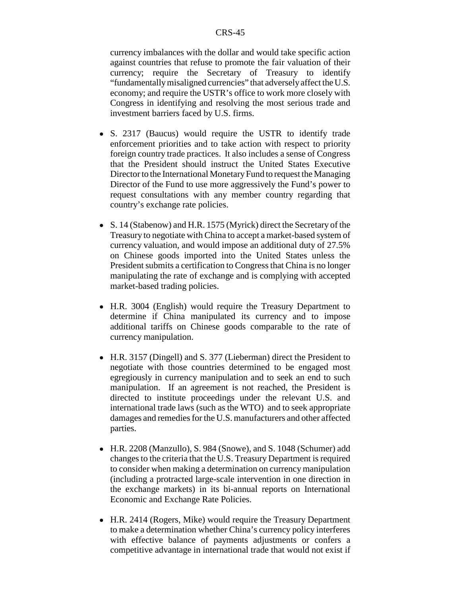currency imbalances with the dollar and would take specific action against countries that refuse to promote the fair valuation of their currency; require the Secretary of Treasury to identify "fundamentally misaligned currencies" that adversely affect the U.S. economy; and require the USTR's office to work more closely with Congress in identifying and resolving the most serious trade and investment barriers faced by U.S. firms.

- S. 2317 (Baucus) would require the USTR to identify trade enforcement priorities and to take action with respect to priority foreign country trade practices. It also includes a sense of Congress that the President should instruct the United States Executive Director to the International Monetary Fund to request the Managing Director of the Fund to use more aggressively the Fund's power to request consultations with any member country regarding that country's exchange rate policies.
- S. 14 (Stabenow) and H.R. 1575 (Myrick) direct the Secretary of the Treasury to negotiate with China to accept a market-based system of currency valuation, and would impose an additional duty of 27.5% on Chinese goods imported into the United States unless the President submits a certification to Congress that China is no longer manipulating the rate of exchange and is complying with accepted market-based trading policies.
- ! H.R. 3004 (English) would require the Treasury Department to determine if China manipulated its currency and to impose additional tariffs on Chinese goods comparable to the rate of currency manipulation.
- H.R. 3157 (Dingell) and S. 377 (Lieberman) direct the President to negotiate with those countries determined to be engaged most egregiously in currency manipulation and to seek an end to such manipulation. If an agreement is not reached, the President is directed to institute proceedings under the relevant U.S. and international trade laws (such as the WTO) and to seek appropriate damages and remedies for the U.S. manufacturers and other affected parties.
- $\bullet$  H.R. 2208 (Manzullo), S. 984 (Snowe), and S. 1048 (Schumer) add changes to the criteria that the U.S. Treasury Department is required to consider when making a determination on currency manipulation (including a protracted large-scale intervention in one direction in the exchange markets) in its bi-annual reports on International Economic and Exchange Rate Policies.
- H.R. 2414 (Rogers, Mike) would require the Treasury Department to make a determination whether China's currency policy interferes with effective balance of payments adjustments or confers a competitive advantage in international trade that would not exist if